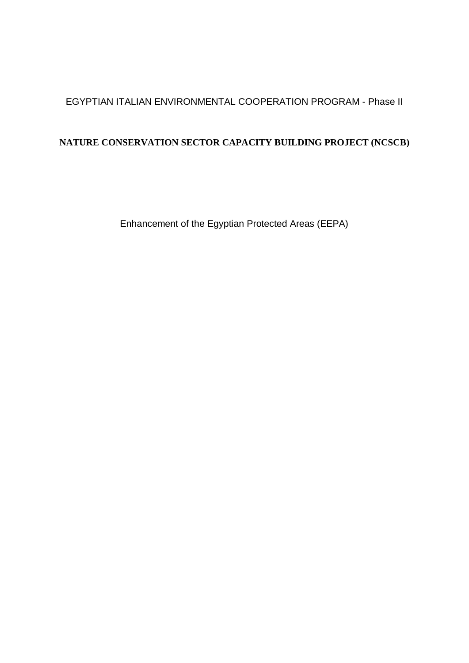# EGYPTIAN ITALIAN ENVIRONMENTAL COOPERATION PROGRAM - Phase II

# **NATURE CONSERVATION SECTOR CAPACITY BUILDING PROJECT (NCSCB)**

Enhancement of the Egyptian Protected Areas (EEPA)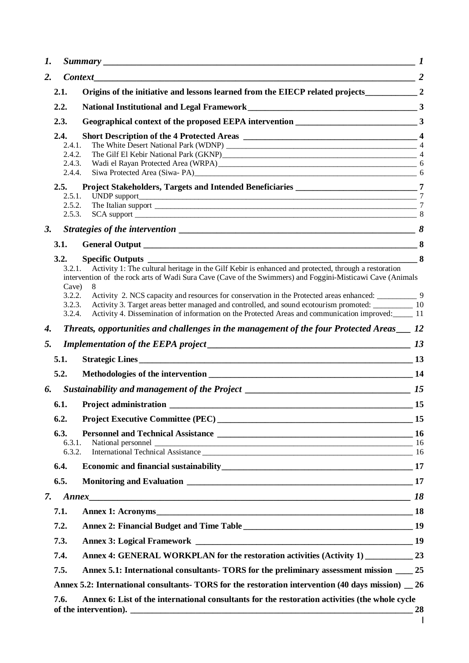| 1. |                  |                                                                                                                                                                                                                                       |                 |  |  |  |
|----|------------------|---------------------------------------------------------------------------------------------------------------------------------------------------------------------------------------------------------------------------------------|-----------------|--|--|--|
| 2. |                  | $\overline{\qquad \qquad }$ 2<br><b>Context</b>                                                                                                                                                                                       |                 |  |  |  |
|    | 2.1.             | Origins of the initiative and lessons learned from the EIECP related projects 2                                                                                                                                                       |                 |  |  |  |
|    | 2.2.             |                                                                                                                                                                                                                                       |                 |  |  |  |
|    | 2.3.             |                                                                                                                                                                                                                                       |                 |  |  |  |
|    | 2.4.             | Short Description of the 4 Protected Areas 2008 and 2008 and 2008 and 2008 and 2008 and 2008 and 2008 and 2008 $\pm$                                                                                                                  |                 |  |  |  |
|    | 2.4.1.<br>2.4.2. |                                                                                                                                                                                                                                       | $\overline{4}$  |  |  |  |
|    | 2.4.3.           |                                                                                                                                                                                                                                       |                 |  |  |  |
|    | 2.4.4.           |                                                                                                                                                                                                                                       |                 |  |  |  |
|    | 2.5.<br>2.5.1.   | Project Stakeholders, Targets and Intended Beneficiaries __________________________________7<br>UNDP support<br><u> 1989 - Johann Barn, mars ann an t-Amhainn an t-Amhainn an t-Amhainn an t-Amhainn an t-Amhainn an t-Amhainn an</u> | $\tau$          |  |  |  |
|    | 2.5.2.           | The Italian support                                                                                                                                                                                                                   | $7\phantom{.0}$ |  |  |  |
|    | 2.5.3.           |                                                                                                                                                                                                                                       |                 |  |  |  |
| 3. |                  |                                                                                                                                                                                                                                       |                 |  |  |  |
|    | 3.1.             |                                                                                                                                                                                                                                       |                 |  |  |  |
|    | 3.2.<br>3.2.1.   | $\sim$ 8<br><b>Specific Outputs</b><br>Activity 1: The cultural heritage in the Gilf Kebir is enhanced and protected, through a restoration                                                                                           |                 |  |  |  |
|    |                  | intervention of the rock arts of Wadi Sura Cave (Cave of the Swimmers) and Foggini-Misticawi Cave (Animals                                                                                                                            |                 |  |  |  |
|    | Cave)<br>3.2.2.  |                                                                                                                                                                                                                                       |                 |  |  |  |
|    | 3.2.3.           | Activity 3. Target areas better managed and controlled, and sound ecotourism promoted: 10                                                                                                                                             |                 |  |  |  |
|    | 3.2.4.           | Activity 4. Dissemination of information on the Protected Areas and communication improved: 11                                                                                                                                        |                 |  |  |  |
| 4. |                  | Threats, opportunities and challenges in the management of the four Protected Areas __ 12                                                                                                                                             |                 |  |  |  |
| 5. |                  |                                                                                                                                                                                                                                       |                 |  |  |  |
|    | 5.1.             |                                                                                                                                                                                                                                       |                 |  |  |  |
|    | 5.2.             |                                                                                                                                                                                                                                       |                 |  |  |  |
| 6. |                  | Sustainability and management of the Project ___________________________________                                                                                                                                                      | 15              |  |  |  |
|    | 6.1.             | <b>Project administration</b>                                                                                                                                                                                                         | 15              |  |  |  |
|    | 6.2.             |                                                                                                                                                                                                                                       |                 |  |  |  |
|    | 6.3.             |                                                                                                                                                                                                                                       |                 |  |  |  |
|    | 6.3.1.<br>6.3.2. | National personnel<br>International Technical Assistance<br>16<br>16                                                                                                                                                                  |                 |  |  |  |
|    | 6.4.             |                                                                                                                                                                                                                                       |                 |  |  |  |
|    | 6.5.             |                                                                                                                                                                                                                                       |                 |  |  |  |
| 7. |                  |                                                                                                                                                                                                                                       |                 |  |  |  |
|    | 7.1.             |                                                                                                                                                                                                                                       |                 |  |  |  |
|    | 7.2.             |                                                                                                                                                                                                                                       |                 |  |  |  |
|    | 7.3.             |                                                                                                                                                                                                                                       |                 |  |  |  |
|    | 7.4.             | Annex 4: GENERAL WORKPLAN for the restoration activities (Activity 1) ___________ 23                                                                                                                                                  |                 |  |  |  |
|    | 7.5.             | Annex 5.1: International consultants- TORS for the preliminary assessment mission 25                                                                                                                                                  |                 |  |  |  |
|    |                  |                                                                                                                                                                                                                                       |                 |  |  |  |
|    |                  | Annex 5.2: International consultants- TORS for the restoration intervention (40 days mission) 26                                                                                                                                      |                 |  |  |  |
|    | 7.6.             | Annex 6: List of the international consultants for the restoration activities (the whole cycle                                                                                                                                        | <b>28</b>       |  |  |  |
|    |                  |                                                                                                                                                                                                                                       | I.              |  |  |  |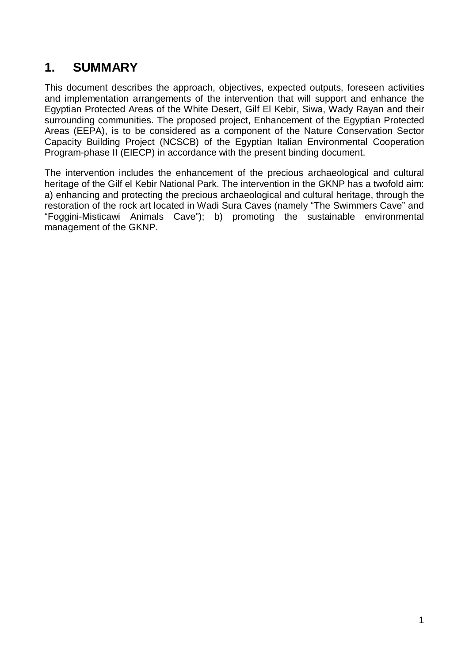# <span id="page-2-0"></span>**1. SUMMARY**

This document describes the approach, objectives, expected outputs, foreseen activities and implementation arrangements of the intervention that will support and enhance the Egyptian Protected Areas of the White Desert, Gilf El Kebir, Siwa, Wady Rayan and their surrounding communities. The proposed project, Enhancement of the Egyptian Protected Areas (EEPA), is to be considered as a component of the Nature Conservation Sector Capacity Building Project (NCSCB) of the Egyptian Italian Environmental Cooperation Program-phase II (EIECP) in accordance with the present binding document.

The intervention includes the enhancement of the precious archaeological and cultural heritage of the Gilf el Kebir National Park. The intervention in the GKNP has a twofold aim: a) enhancing and protecting the precious archaeological and cultural heritage, through the restoration of the rock art located in Wadi Sura Caves (namely "The Swimmers Cave" and "Foggini-Misticawi Animals Cave"); b) promoting the sustainable environmental management of the GKNP.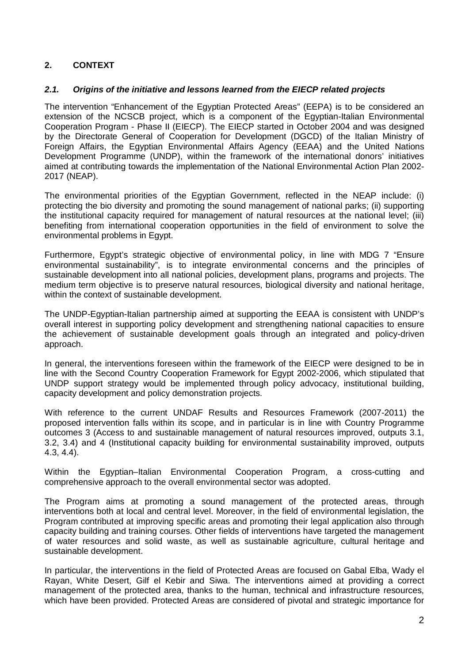# <span id="page-3-0"></span>**2. CONTEXT**

# <span id="page-3-1"></span>*2.1. Origins of the initiative and lessons learned from the EIECP related projects*

The intervention "Enhancement of the Egyptian Protected Areas" (EEPA) is to be considered an extension of the NCSCB project, which is a component of the Egyptian-Italian Environmental Cooperation Program - Phase II (EIECP). The EIECP started in October 2004 and was designed by the Directorate General of Cooperation for Development (DGCD) of the Italian Ministry of Foreign Affairs, the Egyptian Environmental Affairs Agency (EEAA) and the United Nations Development Programme (UNDP), within the framework of the international donors' initiatives aimed at contributing towards the implementation of the National Environmental Action Plan 2002- 2017 (NEAP).

The environmental priorities of the Egyptian Government, reflected in the NEAP include: (i) protecting the bio diversity and promoting the sound management of national parks; (ii) supporting the institutional capacity required for management of natural resources at the national level; (iii) benefiting from international cooperation opportunities in the field of environment to solve the environmental problems in Egypt.

Furthermore, Egypt's strategic objective of environmental policy, in line with MDG 7 "Ensure environmental sustainability", is to integrate environmental concerns and the principles of sustainable development into all national policies, development plans, programs and projects. The medium term objective is to preserve natural resources, biological diversity and national heritage, within the context of sustainable development.

The UNDP-Egyptian-Italian partnership aimed at supporting the EEAA is consistent with UNDP's overall interest in supporting policy development and strengthening national capacities to ensure the achievement of sustainable development goals through an integrated and policy-driven approach.

In general, the interventions foreseen within the framework of the EIECP were designed to be in line with the Second Country Cooperation Framework for Egypt 2002-2006, which stipulated that UNDP support strategy would be implemented through policy advocacy, institutional building, capacity development and policy demonstration projects.

With reference to the current UNDAF Results and Resources Framework (2007-2011) the proposed intervention falls within its scope, and in particular is in line with Country Programme outcomes 3 (Access to and sustainable management of natural resources improved, outputs 3.1, 3.2, 3.4) and 4 (Institutional capacity building for environmental sustainability improved, outputs 4.3, 4.4).

Within the Egyptian–Italian Environmental Cooperation Program, a cross-cutting and comprehensive approach to the overall environmental sector was adopted.

The Program aims at promoting a sound management of the protected areas, through interventions both at local and central level. Moreover, in the field of environmental legislation, the Program contributed at improving specific areas and promoting their legal application also through capacity building and training courses. Other fields of interventions have targeted the management of water resources and solid waste, as well as sustainable agriculture, cultural heritage and sustainable development.

In particular, the interventions in the field of Protected Areas are focused on Gabal Elba, Wady el Rayan, White Desert, Gilf el Kebir and Siwa. The interventions aimed at providing a correct management of the protected area, thanks to the human, technical and infrastructure resources, which have been provided. Protected Areas are considered of pivotal and strategic importance for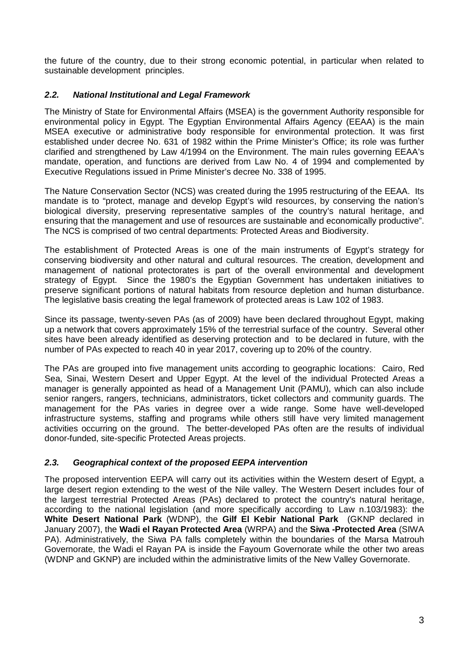the future of the country, due to their strong economic potential, in particular when related to sustainable development principles.

# <span id="page-4-0"></span>*2.2. National Institutional and Legal Framework*

The Ministry of State for Environmental Affairs (MSEA) is the government Authority responsible for environmental policy in Egypt. The Egyptian Environmental Affairs Agency (EEAA) is the main MSEA executive or administrative body responsible for environmental protection. It was first established under decree No. 631 of 1982 within the Prime Minister's Office; its role was further clarified and strengthened by Law 4/1994 on the Environment. The main rules governing EEAA's mandate, operation, and functions are derived from Law No. 4 of 1994 and complemented by Executive Regulations issued in Prime Minister's decree No. 338 of 1995.

The Nature Conservation Sector (NCS) was created during the 1995 restructuring of the EEAA. Its mandate is to "protect, manage and develop Egypt's wild resources, by conserving the nation's biological diversity, preserving representative samples of the country's natural heritage, and ensuring that the management and use of resources are sustainable and economically productive". The NCS is comprised of two central departments: Protected Areas and Biodiversity.

The establishment of Protected Areas is one of the main instruments of Egypt's strategy for conserving biodiversity and other natural and cultural resources. The creation, development and management of national protectorates is part of the overall environmental and development strategy of Egypt. Since the 1980's the Egyptian Government has undertaken initiatives to preserve significant portions of natural habitats from resource depletion and human disturbance. The legislative basis creating the legal framework of protected areas is Law 102 of 1983.

Since its passage, twenty-seven PAs (as of 2009) have been declared throughout Egypt, making up a network that covers approximately 15% of the terrestrial surface of the country. Several other sites have been already identified as deserving protection and to be declared in future, with the number of PAs expected to reach 40 in year 2017, covering up to 20% of the country.

The PAs are grouped into five management units according to geographic locations: Cairo, Red Sea, Sinai, Western Desert and Upper Egypt. At the level of the individual Protected Areas a manager is generally appointed as head of a Management Unit (PAMU), which can also include senior rangers, rangers, technicians, administrators, ticket collectors and community guards. The management for the PAs varies in degree over a wide range. Some have well-developed infrastructure systems, staffing and programs while others still have very limited management activities occurring on the ground. The better-developed PAs often are the results of individual donor-funded, site-specific Protected Areas projects.

# <span id="page-4-1"></span>*2.3. Geographical context of the proposed EEPA intervention*

The proposed intervention EEPA will carry out its activities within the Western desert of Egypt, a large desert region extending to the west of the Nile valley. The Western Desert includes four of the largest terrestrial Protected Areas (PAs) declared to protect the country's natural heritage, according to the national legislation (and more specifically according to Law n.103/1983): the **White Desert National Park** (WDNP), the **Gilf El Kebir National Park** (GKNP declared in January 2007), the **Wadi el Rayan Protected Area** (WRPA) and the **Siwa -Protected Area** (SIWA PA). Administratively, the Siwa PA falls completely within the boundaries of the Marsa Matrouh Governorate, the Wadi el Rayan PA is inside the Fayoum Governorate while the other two areas (WDNP and GKNP) are included within the administrative limits of the New Valley Governorate.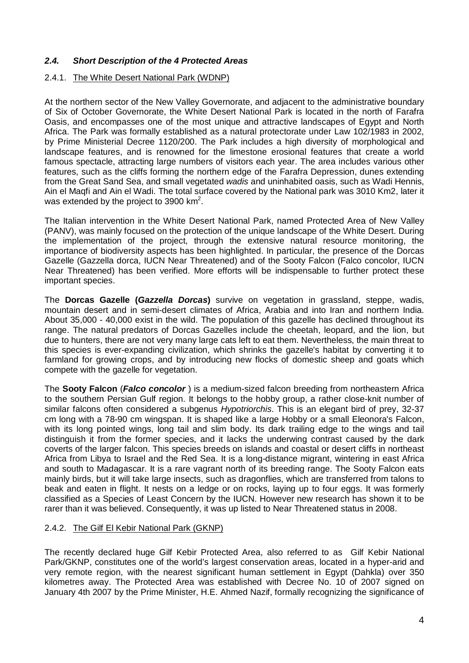# <span id="page-5-0"></span>*2.4. Short Description of the 4 Protected Areas*

## <span id="page-5-1"></span>2.4.1. The White Desert National Park (WDNP)

At the northern sector of the New Valley Governorate, and adjacent to the administrative boundary of Six of October Governorate, the White Desert National Park is located in the north of Farafra Oasis, and encompasses one of the most unique and attractive landscapes of Egypt and North Africa. The Park was formally established as a natural protectorate under Law 102/1983 in 2002, by Prime Ministerial Decree 1120/200. The Park includes a high diversity of morphological and landscape features, and is renowned for the limestone erosional features that create a world famous spectacle, attracting large numbers of visitors each year. The area includes various other features, such as the cliffs forming the northern edge of the Farafra Depression, dunes extending from the Great Sand Sea, and small vegetated *wadis* and uninhabited oasis, such as Wadi Hennis, Ain el Maqfi and Ain el Wadi. The total surface covered by the National park was 3010 Km2, later it was extended by the project to 3900  $km^2$ .

The Italian intervention in the White Desert National Park, named Protected Area of New Valley (PANV), was mainly focused on the protection of the unique landscape of the White Desert. During the implementation of the project, through the extensive natural resource monitoring, the importance of biodiversity aspects has been highlighted. In particular, the presence of the Dorcas Gazelle (Gazzella dorca, IUCN Near [Threatened\)](http://en.wikipedia.org/wiki/Near_Threatened) and of the Sooty Falcon (Falco concolor, IUCN Near [Threatened\)](http://en.wikipedia.org/wiki/Near_Threatened) has been verified. More efforts will be indispensable to further protect these important species.

The **Dorcas Gazelle (***Gazzella Dorcas***)** survive on vegetation in [grassland,](http://en.wikipedia.org/wiki/Grassland) [steppe,](http://en.wikipedia.org/wiki/Steppe) [wadis,](http://en.wikipedia.org/wiki/Wadis) mountain [desert](http://en.wikipedia.org/wiki/Desert) and in semi-desert climates of [Africa,](http://en.wikipedia.org/wiki/Africa) [Arabia](http://en.wikipedia.org/wiki/Arabia) and into [Iran](http://en.wikipedia.org/wiki/Iran) and northern [India.](http://en.wikipedia.org/wiki/India) About 35,000 - 40,000 exist in the wild. The population of this gazelle has declined throughout its range. The natural predators of Dorcas Gazelles include the cheetah, [leopard,](http://en.wikipedia.org/wiki/Leopard) and the [lion,](http://en.wikipedia.org/wiki/Lion) but due to hunters, there are not very many large cats left to eat them. Nevertheless, the main threat to this species is ever-expanding civilization, which shrinks the gazelle's habitat by converting it to farmland for growing crops, and by introducing new flocks of domestic sheep and goats which compete with the gazelle for vegetation.

The **Sooty Falcon** (*Falco concolor* ) is a medium-sized [falcon](http://en.wikipedia.org/wiki/Falcon) breeding from northeastern [Africa](http://en.wikipedia.org/wiki/Africa) to the southern Persian Gulf region. It belongs to the hobby group, a rather close-knit number of similar falcons often considered a subgenus *Hypotriorchis*. This is an elegant [bird of prey,](http://en.wikipedia.org/wiki/Bird_of_prey) 32-37 cm long with a 78-90 cm wingspan. It is shaped like a large [Hobby](http://en.wikipedia.org/wiki/Eurasian_Hobby) or a small Eleonora's Falcon, with its long pointed wings, long tail and slim body. Its dark trailing edge to the wings and tail distinguish it from the former species, and it lacks the underwing contrast caused by the dark coverts of the larger falcon. This species breeds on islands and coastal or desert cliffs in northeast [Africa](http://en.wikipedia.org/wiki/Africa) from [Libya](http://en.wikipedia.org/wiki/Libya) to Israel and the [Red Sea.](http://en.wikipedia.org/wiki/Red_Sea) It is a long-distance [migrant,](http://en.wikipedia.org/wiki/Bird_migration) wintering in east Africa and south to Madagascar. It is a rare vagrant north of its breeding range. The Sooty Falcon eats mainly birds, but it will take large insects, such as dragonflies, which are transferred from talons to beak and eaten in flight. It nests on a ledge or on rocks, laying up to four [eggs.](http://en.wikipedia.org/wiki/Egg_%28biology%29) It was formerly classified as a Species of Least Concern by the IUCN. However new research has shown it to be rarer than it was believed. Consequently, it was up listed to Near Threatened status in 2008.

# <span id="page-5-2"></span>2.4.2. The Gilf El Kebir National Park (GKNP)

The recently declared huge Gilf Kebir Protected Area, also referred to as Gilf Kebir National Park/GKNP, constitutes one of the world's largest conservation areas, located in a hyper-arid and very remote region, with the nearest significant human settlement in Egypt (Dahkla) over 350 kilometres away. The Protected Area was established with Decree No. 10 of 2007 signed on January 4th 2007 by the Prime Minister, H.E. Ahmed Nazif, formally recognizing the significance of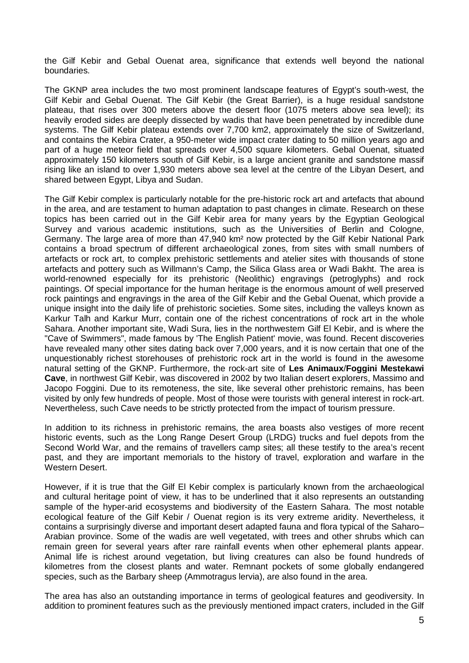the Gilf Kebir and Gebal Ouenat area, significance that extends well beyond the national boundaries.

The GKNP area includes the two most prominent landscape features of Egypt's south-west, the Gilf Kebir and Gebal Ouenat. The Gilf Kebir (the Great Barrier), is a huge residual sandstone plateau, that rises over 300 meters above the desert floor (1075 meters above sea level); its heavily eroded sides are deeply dissected by wadis that have been penetrated by incredible dune systems. The Gilf Kebir plateau extends over 7,700 km2, approximately the size of Switzerland, and contains the Kebira Crater, a 950-meter wide impact crater dating to 50 million years ago and part of a huge meteor field that spreads over 4,500 square kilometers. Gebal Ouenat, situated approximately 150 kilometers south of Gilf Kebir, is a large ancient granite and sandstone massif rising like an island to over 1,930 meters above sea level at the centre of the Libyan Desert, and shared between Egypt, Libya and Sudan.

The Gilf Kebir complex is particularly notable for the pre-historic rock art and artefacts that abound in the area, and are testament to human adaptation to past changes in climate. Research on these topics has been carried out in the Gilf Kebir area for many years by the Egyptian Geological Survey and various academic institutions, such as the Universities of Berlin and Cologne, Germany. The large area of more than 47,940 km² now protected by the Gilf Kebir National Park contains a broad spectrum of different archaeological zones, from sites with small numbers of artefacts or rock art, to complex prehistoric settlements and atelier sites with thousands of stone artefacts and pottery such as Willmann's Camp, the Silica Glass area or Wadi Bakht. The area is world-renowned especially for its prehistoric (Neolithic) engravings (petroglyphs) and rock paintings. Of special importance for the human heritage is the enormous amount of well preserved rock paintings and engravings in the area of the Gilf Kebir and the Gebal Ouenat, which provide a unique insight into the daily life of prehistoric societies. Some sites, including the valleys known as Karkur Talh and Karkur Murr, contain one of the richest concentrations of rock art in the whole Sahara. Another important site, Wadi Sura, lies in the northwestern Gilf El Kebir, and is where the "Cave of Swimmers", made famous by 'The English Patient' movie, was found. Recent discoveries have revealed many other sites dating back over 7,000 years, and it is now certain that one of the unquestionably richest storehouses of prehistoric rock art in the world is found in the awesome natural setting of the GKNP. Furthermore, the rock-art site of **Les Animaux**/**Foggini Mestekawi Cave**, in northwest Gilf Kebir, was discovered in 2002 by two Italian desert explorers, Massimo and Jacopo Foggini. Due to its remoteness, the site, like several other prehistoric remains, has been visited by only few hundreds of people. Most of those were tourists with general interest in rock-art. Nevertheless, such Cave needs to be strictly protected from the impact of tourism pressure.

In addition to its richness in prehistoric remains, the area boasts also vestiges of more recent historic events, such as the Long Range Desert Group (LRDG) trucks and fuel depots from the Second World War, and the remains of travellers camp sites; all these testify to the area's recent past, and they are important memorials to the history of travel, exploration and warfare in the Western Desert.

However, if it is true that the Gilf El Kebir complex is particularly known from the archaeological and cultural heritage point of view, it has to be underlined that it also represents an outstanding sample of the hyper-arid ecosystems and biodiversity of the Eastern Sahara. The most notable ecological feature of the Gilf Kebir / Ouenat region is its very extreme aridity. Nevertheless, it contains a surprisingly diverse and important desert adapted fauna and flora typical of the Saharo– Arabian province. Some of the wadis are well vegetated, with trees and other shrubs which can remain green for several years after rare rainfall events when other ephemeral plants appear. Animal life is richest around vegetation, but living creatures can also be found hundreds of kilometres from the closest plants and water. Remnant pockets of some globally endangered species, such as the Barbary sheep (Ammotragus lervia), are also found in the area.

The area has also an outstanding importance in terms of geological features and geodiversity. In addition to prominent features such as the previously mentioned impact craters, included in the Gilf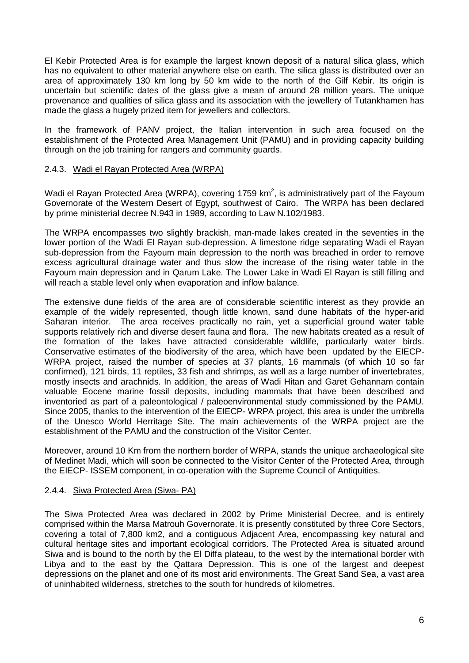El Kebir Protected Area is for example the largest known deposit of a natural silica glass, which has no equivalent to other material anywhere else on earth. The silica glass is distributed over an area of approximately 130 km long by 50 km wide to the north of the Gilf Kebir. Its origin is uncertain but scientific dates of the glass give a mean of around 28 million years. The unique provenance and qualities of silica glass and its association with the jewellery of Tutankhamen has made the glass a hugely prized item for jewellers and collectors.

In the framework of PANV project, the Italian intervention in such area focused on the establishment of the Protected Area Management Unit (PAMU) and in providing capacity building through on the job training for rangers and community guards.

# <span id="page-7-0"></span>2.4.3. Wadi el Rayan Protected Area (WRPA)

Wadi el Rayan Protected Area (WRPA), covering 1759 km<sup>2</sup>, is administratively part of the Fayoum Governorate of the Western Desert of Egypt, southwest of Cairo. The WRPA has been declared by prime ministerial decree N.943 in 1989, according to Law N.102/1983.

The WRPA encompasses two slightly brackish, man-made lakes created in the seventies in the lower portion of the Wadi El Rayan sub-depression. A limestone ridge separating Wadi el Rayan sub-depression from the Fayoum main depression to the north was breached in order to remove excess agricultural drainage water and thus slow the increase of the rising water table in the Fayoum main depression and in Qarum Lake. The Lower Lake in Wadi El Rayan is still filling and will reach a stable level only when evaporation and inflow balance.

The extensive dune fields of the area are of considerable scientific interest as they provide an example of the widely represented, though little known, sand dune habitats of the hyper-arid Saharan interior. The area receives practically no rain, yet a superficial ground water table supports relatively rich and diverse desert fauna and flora. The new habitats created as a result of the formation of the lakes have attracted considerable wildlife, particularly water birds. Conservative estimates of the biodiversity of the area, which have been updated by the EIECP-WRPA project, raised the number of species at 37 plants, 16 mammals (of which 10 so far confirmed), 121 birds, 11 reptiles, 33 fish and shrimps, as well as a large number of invertebrates, mostly insects and arachnids. In addition, the areas of Wadi Hitan and Garet Gehannam contain valuable Eocene marine fossil deposits, including mammals that have been described and inventoried as part of a paleontological / paleoenvironmental study commissioned by the PAMU. Since 2005, thanks to the intervention of the EIECP- WRPA project, this area is under the umbrella of the Unesco World Herritage Site. The main achievements of the WRPA project are the establishment of the PAMU and the construction of the Visitor Center.

Moreover, around 10 Km from the northern border of WRPA, stands the unique archaeological site of Medinet Madi, which will soon be connected to the Visitor Center of the Protected Area, through the EIECP- ISSEM component, in co-operation with the Supreme Council of Antiquities.

# <span id="page-7-1"></span>2.4.4. Siwa Protected Area (Siwa- PA)

The Siwa Protected Area was declared in 2002 by Prime Ministerial Decree, and is entirely comprised within the Marsa Matrouh Governorate. It is presently constituted by three Core Sectors, covering a total of 7,800 km2, and a contiguous Adjacent Area, encompassing key natural and cultural heritage sites and important ecological corridors. The Protected Area is situated around Siwa and is bound to the north by the El Diffa plateau, to the west by the international border with Libya and to the east by the Qattara Depression. This is one of the largest and deepest depressions on the planet and one of its most arid environments. The Great Sand Sea, a vast area of uninhabited wilderness, stretches to the south for hundreds of kilometres.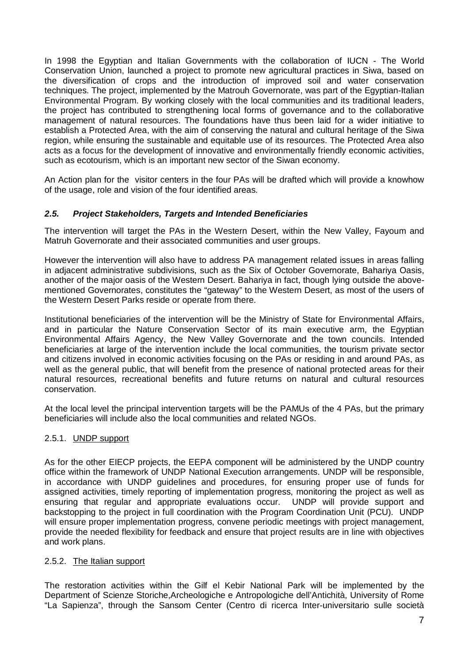In 1998 the Egyptian and Italian Governments with the collaboration of IUCN - The World Conservation Union, launched a project to promote new agricultural practices in Siwa, based on the diversification of crops and the introduction of improved soil and water conservation techniques. The project, implemented by the Matrouh Governorate, was part of the Egyptian-Italian Environmental Program. By working closely with the local communities and its traditional leaders, the project has contributed to strengthening local forms of governance and to the collaborative management of natural resources. The foundations have thus been laid for a wider initiative to establish a Protected Area, with the aim of conserving the natural and cultural heritage of the Siwa region, while ensuring the sustainable and equitable use of its resources. The Protected Area also acts as a focus for the development of innovative and environmentally friendly economic activities, such as ecotourism, which is an important new sector of the Siwan economy.

An Action plan for the visitor centers in the four PAs will be drafted which will provide a knowhow of the usage, role and vision of the four identified areas.

# <span id="page-8-0"></span>*2.5. Project Stakeholders, Targets and Intended Beneficiaries*

The intervention will target the PAs in the Western Desert, within the New Valley, Fayoum and Matruh Governorate and their associated communities and user groups.

However the intervention will also have to address PA management related issues in areas falling in adjacent administrative subdivisions, such as the Six of October Governorate, Bahariya Oasis, another of the major oasis of the Western Desert. Bahariya in fact, though lying outside the abovementioned Governorates, constitutes the "gateway" to the Western Desert, as most of the users of the Western Desert Parks reside or operate from there.

Institutional beneficiaries of the intervention will be the Ministry of State for Environmental Affairs, and in particular the Nature Conservation Sector of its main executive arm, the Egyptian Environmental Affairs Agency, the New Valley Governorate and the town councils. Intended beneficiaries at large of the intervention include the local communities, the tourism private sector and citizens involved in economic activities focusing on the PAs or residing in and around PAs, as well as the general public, that will benefit from the presence of national protected areas for their natural resources, recreational benefits and future returns on natural and cultural resources conservation.

At the local level the principal intervention targets will be the PAMUs of the 4 PAs, but the primary beneficiaries will include also the local communities and related NGOs.

# <span id="page-8-1"></span>2.5.1. UNDP support

As for the other EIECP projects, the EEPA component will be administered by the UNDP country office within the framework of UNDP National Execution arrangements. UNDP will be responsible, in accordance with UNDP guidelines and procedures, for ensuring proper use of funds for assigned activities, timely reporting of implementation progress, monitoring the project as well as ensuring that regular and appropriate evaluations occur. UNDP will provide support and backstopping to the project in full coordination with the Program Coordination Unit (PCU). UNDP will ensure proper implementation progress, convene periodic meetings with project management, provide the needed flexibility for feedback and ensure that project results are in line with objectives and work plans.

# <span id="page-8-2"></span>2.5.2. The Italian support

The restoration activities within the Gilf el Kebir National Park will be implemented by the Department of Scienze Storiche,Archeologiche e Antropologiche dell'Antichità, University of Rome "La Sapienza", through the Sansom Center (Centro di ricerca Inter-universitario sulle società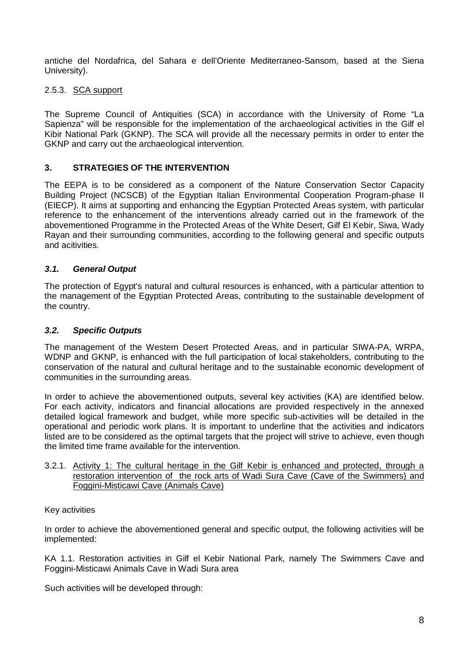antiche del Nordafrica, del Sahara e dell'Oriente Mediterraneo-Sansom, based at the Siena University).

# <span id="page-9-0"></span>2.5.3. SCA support

The Supreme Council of Antiquities (SCA) in accordance with the University of Rome "La Sapienza" will be responsible for the implementation of the archaeological activities in the Gilf el Kibir National Park (GKNP). The SCA will provide all the necessary permits in order to enter the GKNP and carry out the archaeological intervention.

# <span id="page-9-1"></span>**3. STRATEGIES OF THE INTERVENTION**

The EEPA is to be considered as a component of the Nature Conservation Sector Capacity Building Project (NCSCB) of the Egyptian Italian Environmental Cooperation Program-phase II (EIECP). It aims at supporting and enhancing the Egyptian Protected Areas system, with particular reference to the enhancement of the interventions already carried out in the framework of the abovementioned Programme in the Protected Areas of the White Desert, Gilf El Kebir, Siwa, Wady Rayan and their surrounding communities, according to the following general and specific outputs and acitivities.

# <span id="page-9-2"></span>*3.1. General Output*

The protection of Egypt's natural and cultural resources is enhanced, with a particular attention to the management of the Egyptian Protected Areas, contributing to the sustainable development of the country.

# <span id="page-9-3"></span>*3.2. Specific Outputs*

The management of the Western Desert Protected Areas, and in particular SIWA-PA, WRPA, WDNP and GKNP, is enhanced with the full participation of local stakeholders, contributing to the conservation of the natural and cultural heritage and to the sustainable economic development of communities in the surrounding areas.

In order to achieve the abovementioned outputs, several key activities (KA) are identified below. For each activity, indicators and financial allocations are provided respectively in the annexed detailed logical framework and budget, while more specific sub-activities will be detailed in the operational and periodic work plans. It is important to underline that the activities and indicators listed are to be considered as the optimal targets that the project will strive to achieve, even though the limited time frame available for the intervention.

#### <span id="page-9-4"></span>3.2.1. Activity 1: The cultural heritage in the Gilf Kebir is enhanced and protected, through a restoration intervention of the rock arts of Wadi Sura Cave (Cave of the Swimmers) and Foggini-Misticawi Cave (Animals Cave)

# Key activities

In order to achieve the abovementioned general and specific output, the following activities will be implemented:

KA 1.1. Restoration activities in Gilf el Kebir National Park, namely The Swimmers Cave and Foggini-Misticawi Animals Cave in Wadi Sura area

Such activities will be developed through: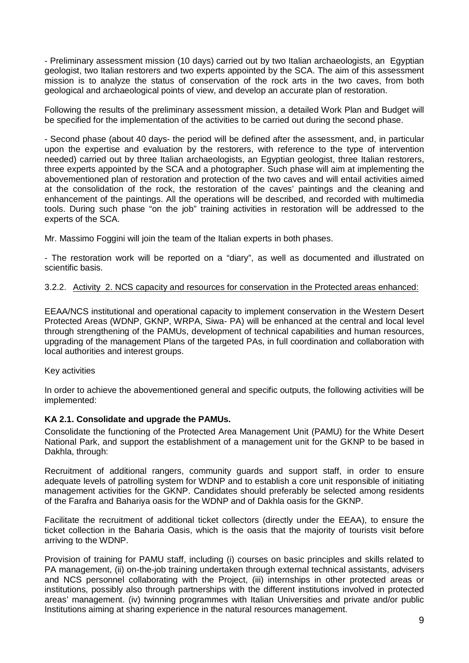- Preliminary assessment mission (10 days) carried out by two Italian archaeologists, an Egyptian geologist, two Italian restorers and two experts appointed by the SCA. The aim of this assessment mission is to analyze the status of conservation of the rock arts in the two caves, from both geological and archaeological points of view, and develop an accurate plan of restoration.

Following the results of the preliminary assessment mission, a detailed Work Plan and Budget will be specified for the implementation of the activities to be carried out during the second phase.

- Second phase (about 40 days- the period will be defined after the assessment, and, in particular upon the expertise and evaluation by the restorers, with reference to the type of intervention needed) carried out by three Italian archaeologists, an Egyptian geologist, three Italian restorers, three experts appointed by the SCA and a photographer. Such phase will aim at implementing the abovementioned plan of restoration and protection of the two caves and will entail activities aimed at the consolidation of the rock, the restoration of the caves' paintings and the cleaning and enhancement of the paintings. All the operations will be described, and recorded with multimedia tools. During such phase "on the job" training activities in restoration will be addressed to the experts of the SCA.

Mr. Massimo Foggini will join the team of the Italian experts in both phases.

- The restoration work will be reported on a "diary", as well as documented and illustrated on scientific basis.

# <span id="page-10-0"></span>3.2.2. Activity 2. NCS capacity and resources for conservation in the Protected areas enhanced:

EEAA/NCS institutional and operational capacity to implement conservation in the Western Desert Protected Areas (WDNP, GKNP, WRPA, Siwa- PA) will be enhanced at the central and local level through strengthening of the PAMUs, development of technical capabilities and human resources, upgrading of the management Plans of the targeted PAs, in full coordination and collaboration with local authorities and interest groups.

# Key activities

In order to achieve the abovementioned general and specific outputs, the following activities will be implemented:

# **KA 2.1. Consolidate and upgrade the PAMUs.**

Consolidate the functioning of the Protected Area Management Unit (PAMU) for the White Desert National Park, and support the establishment of a management unit for the GKNP to be based in Dakhla, through:

Recruitment of additional rangers, community guards and support staff, in order to ensure adequate levels of patrolling system for WDNP and to establish a core unit responsible of initiating management activities for the GKNP. Candidates should preferably be selected among residents of the Farafra and Bahariya oasis for the WDNP and of Dakhla oasis for the GKNP.

Facilitate the recruitment of additional ticket collectors (directly under the EEAA), to ensure the ticket collection in the Baharia Oasis, which is the oasis that the majority of tourists visit before arriving to the WDNP.

Provision of training for PAMU staff, including (i) courses on basic principles and skills related to PA management, (ii) on-the-job training undertaken through external technical assistants, advisers and NCS personnel collaborating with the Project, (iii) internships in other protected areas or institutions, possibly also through partnerships with the different institutions involved in protected areas' management. (iv) twinning programmes with Italian Universities and private and/or public Institutions aiming at sharing experience in the natural resources management.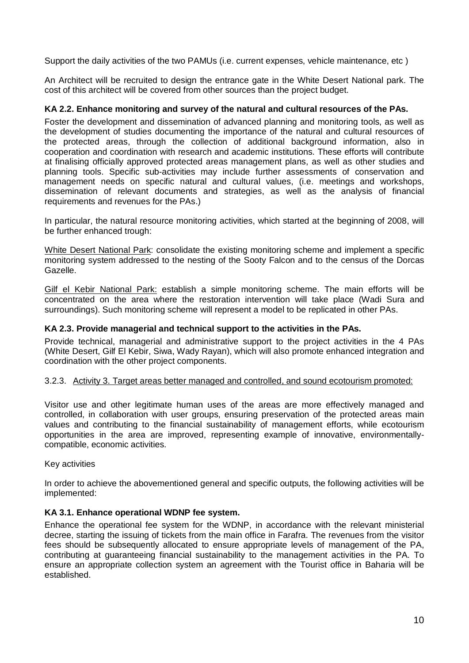Support the daily activities of the two PAMUs (i.e. current expenses, vehicle maintenance, etc )

An Architect will be recruited to design the entrance gate in the White Desert National park. The cost of this architect will be covered from other sources than the project budget.

# **KA 2.2. Enhance monitoring and survey of the natural and cultural resources of the PAs.**

Foster the development and dissemination of advanced planning and monitoring tools, as well as the development of studies documenting the importance of the natural and cultural resources of the protected areas, through the collection of additional background information, also in cooperation and coordination with research and academic institutions. These efforts will contribute at finalising officially approved protected areas management plans, as well as other studies and planning tools. Specific sub-activities may include further assessments of conservation and management needs on specific natural and cultural values, (i.e. meetings and workshops, dissemination of relevant documents and strategies, as well as the analysis of financial requirements and revenues for the PAs.)

In particular, the natural resource monitoring activities, which started at the beginning of 2008, will be further enhanced trough:

White Desert National Park: consolidate the existing monitoring scheme and implement a specific monitoring system addressed to the nesting of the Sooty Falcon and to the census of the Dorcas Gazelle.

Gilf el Kebir National Park: establish a simple monitoring scheme. The main efforts will be concentrated on the area where the restoration intervention will take place (Wadi Sura and surroundings). Such monitoring scheme will represent a model to be replicated in other PAs.

# **KA 2.3. Provide managerial and technical support to the activities in the PAs.**

Provide technical, managerial and administrative support to the project activities in the 4 PAs (White Desert, Gilf El Kebir, Siwa, Wady Rayan), which will also promote enhanced integration and coordination with the other project components.

# <span id="page-11-0"></span>3.2.3. Activity 3. Target areas better managed and controlled, and sound ecotourism promoted:

Visitor use and other legitimate human uses of the areas are more effectively managed and controlled, in collaboration with user groups, ensuring preservation of the protected areas main values and contributing to the financial sustainability of management efforts, while ecotourism opportunities in the area are improved, representing example of innovative, environmentallycompatible, economic activities.

# Key activities

In order to achieve the abovementioned general and specific outputs, the following activities will be implemented:

# **KA 3.1. Enhance operational WDNP fee system.**

Enhance the operational fee system for the WDNP, in accordance with the relevant ministerial decree, starting the issuing of tickets from the main office in Farafra. The revenues from the visitor fees should be subsequently allocated to ensure appropriate levels of management of the PA, contributing at guaranteeing financial sustainability to the management activities in the PA. To ensure an appropriate collection system an agreement with the Tourist office in Baharia will be established.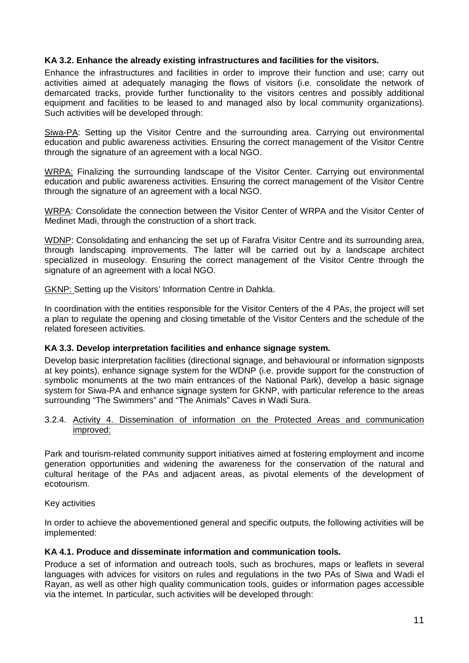# **KA 3.2. Enhance the already existing infrastructures and facilities for the visitors.**

Enhance the infrastructures and facilities in order to improve their function and use; carry out activities aimed at adequately managing the flows of visitors (i.e. consolidate the network of demarcated tracks, provide further functionality to the visitors centres and possibly additional equipment and facilities to be leased to and managed also by local community organizations). Such activities will be developed through:

Siwa-PA: Setting up the Visitor Centre and the surrounding area. Carrying out environmental education and public awareness activities. Ensuring the correct management of the Visitor Centre through the signature of an agreement with a local NGO.

WRPA: Finalizing the surrounding landscape of the Visitor Center. Carrying out environmental education and public awareness activities. Ensuring the correct management of the Visitor Centre through the signature of an agreement with a local NGO.

WRPA: Consolidate the connection between the Visitor Center of WRPA and the Visitor Center of Medinet Madi, through the construction of a short track.

WDNP: Consolidating and enhancing the set up of Farafra Visitor Centre and its surrounding area, through landscaping improvements. The latter will be carried out by a landscape architect specialized in museology. Ensuring the correct management of the Visitor Centre through the signature of an agreement with a local NGO.

GKNP: Setting up the Visitors' Information Centre in Dahkla.

In coordination with the entities responsible for the Visitor Centers of the 4 PAs, the project will set a plan to regulate the opening and closing timetable of the Visitor Centers and the schedule of the related foreseen activities.

# **KA 3.3. Develop interpretation facilities and enhance signage system.**

Develop basic interpretation facilities (directional signage, and behavioural or information signposts at key points), enhance signage system for the WDNP (i.e. provide support for the construction of symbolic monuments at the two main entrances of the National Park), develop a basic signage system for Siwa-PA and enhance signage system for GKNP, with particular reference to the areas surrounding "The Swimmers" and "The Animals" Caves in Wadi Sura.

#### <span id="page-12-0"></span>3.2.4. Activity 4. Dissemination of information on the Protected Areas and communication improved:

Park and tourism-related community support initiatives aimed at fostering employment and income generation opportunities and widening the awareness for the conservation of the natural and cultural heritage of the PAs and adjacent areas, as pivotal elements of the development of ecotourism.

# Key activities

In order to achieve the abovementioned general and specific outputs, the following activities will be implemented:

# **KA 4.1. Produce and disseminate information and communication tools.**

Produce a set of information and outreach tools, such as brochures, maps or leaflets in several languages with advices for visitors on rules and regulations in the two PAs of Siwa and Wadi el Rayan, as well as other high quality communication tools, guides or information pages accessible via the internet. In particular, such activities will be developed through: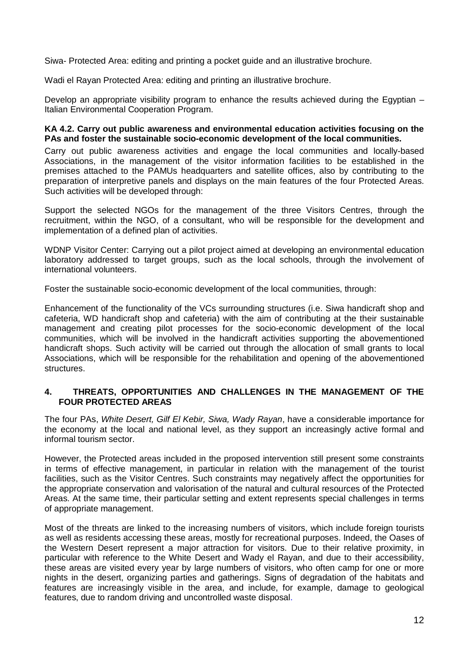Siwa- Protected Area: editing and printing a pocket guide and an illustrative brochure.

Wadi el Rayan Protected Area: editing and printing an illustrative brochure.

Develop an appropriate visibility program to enhance the results achieved during the Egyptian – Italian Environmental Cooperation Program.

# **KA 4.2. Carry out public awareness and environmental education activities focusing on the PAs and foster the sustainable socio-economic development of the local communities.**

Carry out public awareness activities and engage the local communities and locally-based Associations, in the management of the visitor information facilities to be established in the premises attached to the PAMUs headquarters and satellite offices, also by contributing to the preparation of interpretive panels and displays on the main features of the four Protected Areas. Such activities will be developed through:

Support the selected NGOs for the management of the three Visitors Centres, through the recruitment, within the NGO, of a consultant, who will be responsible for the development and implementation of a defined plan of activities.

WDNP Visitor Center: Carrying out a pilot project aimed at developing an environmental education laboratory addressed to target groups, such as the local schools, through the involvement of international volunteers.

Foster the sustainable socio-economic development of the local communities, through:

Enhancement of the functionality of the VCs surrounding structures (i.e. Siwa handicraft shop and cafeteria, WD handicraft shop and cafeteria) with the aim of contributing at the their sustainable management and creating pilot processes for the socio-economic development of the local communities, which will be involved in the handicraft activities supporting the abovementioned handicraft shops. Such activity will be carried out through the allocation of small grants to local Associations, which will be responsible for the rehabilitation and opening of the abovementioned structures.

# <span id="page-13-0"></span>**4. THREATS, OPPORTUNITIES AND CHALLENGES IN THE MANAGEMENT OF THE FOUR PROTECTED AREAS**

The four PAs, *White Desert, Gilf El Kebir, Siwa, Wady Rayan*, have a considerable importance for the economy at the local and national level, as they support an increasingly active formal and informal tourism sector.

However, the Protected areas included in the proposed intervention still present some constraints in terms of effective management, in particular in relation with the management of the tourist facilities, such as the Visitor Centres. Such constraints may negatively affect the opportunities for the appropriate conservation and valorisation of the natural and cultural resources of the Protected Areas. At the same time, their particular setting and extent represents special challenges in terms of appropriate management.

Most of the threats are linked to the increasing numbers of visitors, which include foreign tourists as well as residents accessing these areas, mostly for recreational purposes. Indeed, the Oases of the Western Desert represent a major attraction for visitors. Due to their relative proximity, in particular with reference to the White Desert and Wady el Rayan, and due to their accessibility, these areas are visited every year by large numbers of visitors, who often camp for one or more nights in the desert, organizing parties and gatherings. Signs of degradation of the habitats and features are increasingly visible in the area, and include, for example, damage to geological features, due to random driving and uncontrolled waste disposal.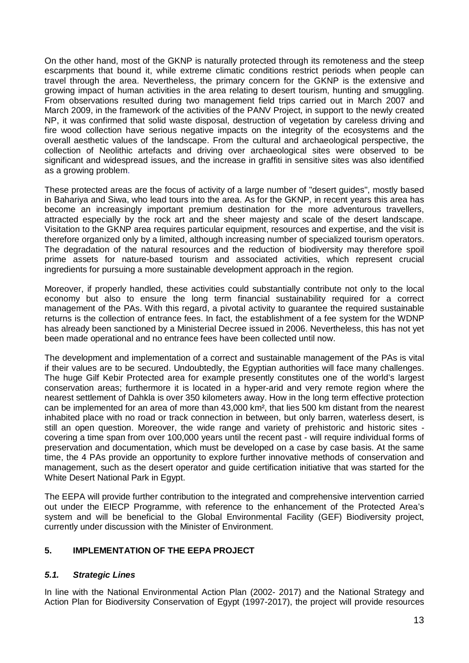On the other hand, most of the GKNP is naturally protected through its remoteness and the steep escarpments that bound it, while extreme climatic conditions restrict periods when people can travel through the area. Nevertheless, the primary concern for the GKNP is the extensive and growing impact of human activities in the area relating to desert tourism, hunting and smuggling. From observations resulted during two management field trips carried out in March 2007 and March 2009, in the framework of the activities of the PANV Project, in support to the newly created NP, it was confirmed that solid waste disposal, destruction of vegetation by careless driving and fire wood collection have serious negative impacts on the integrity of the ecosystems and the overall aesthetic values of the landscape. From the cultural and archaeological perspective, the collection of Neolithic artefacts and driving over archaeological sites were observed to be significant and widespread issues, and the increase in graffiti in sensitive sites was also identified as a growing problem.

These protected areas are the focus of activity of a large number of "desert guides", mostly based in Bahariya and Siwa, who lead tours into the area. As for the GKNP, in recent years this area has become an increasingly important premium destination for the more adventurous travellers, attracted especially by the rock art and the sheer majesty and scale of the desert landscape. Visitation to the GKNP area requires particular equipment, resources and expertise, and the visit is therefore organized only by a limited, although increasing number of specialized tourism operators. The degradation of the natural resources and the reduction of biodiversity may therefore spoil prime assets for nature-based tourism and associated activities, which represent crucial ingredients for pursuing a more sustainable development approach in the region.

Moreover, if properly handled, these activities could substantially contribute not only to the local economy but also to ensure the long term financial sustainability required for a correct management of the PAs. With this regard, a pivotal activity to guarantee the required sustainable returns is the collection of entrance fees. In fact, the establishment of a fee system for the WDNP has already been sanctioned by a Ministerial Decree issued in 2006. Nevertheless, this has not yet been made operational and no entrance fees have been collected until now.

The development and implementation of a correct and sustainable management of the PAs is vital if their values are to be secured. Undoubtedly, the Egyptian authorities will face many challenges. The huge Gilf Kebir Protected area for example presently constitutes one of the world's largest conservation areas; furthermore it is located in a hyper-arid and very remote region where the nearest settlement of Dahkla is over 350 kilometers away. How in the long term effective protection can be implemented for an area of more than 43,000 km², that lies 500 km distant from the nearest inhabited place with no road or track connection in between, but only barren, waterless desert, is still an open question. Moreover, the wide range and variety of prehistoric and historic sites covering a time span from over 100,000 years until the recent past - will require individual forms of preservation and documentation, which must be developed on a case by case basis. At the same time, the 4 PAs provide an opportunity to explore further innovative methods of conservation and management, such as the desert operator and guide certification initiative that was started for the White Desert National Park in Egypt.

The EEPA will provide further contribution to the integrated and comprehensive intervention carried out under the EIECP Programme, with reference to the enhancement of the Protected Area's system and will be beneficial to the Global Environmental Facility (GEF) Biodiversity project, currently under discussion with the Minister of Environment.

# <span id="page-14-0"></span>**5. IMPLEMENTATION OF THE EEPA PROJECT**

# <span id="page-14-1"></span>*5.1. Strategic Lines*

In line with the National Environmental Action Plan (2002- 2017) and the National Strategy and Action Plan for Biodiversity Conservation of Egypt (1997-2017), the project will provide resources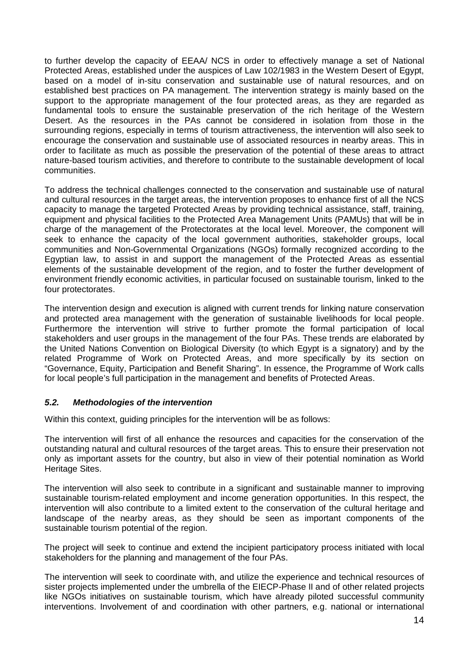to further develop the capacity of EEAA/ NCS in order to effectively manage a set of National Protected Areas, established under the auspices of Law 102/1983 in the Western Desert of Egypt, based on a model of in-situ conservation and sustainable use of natural resources, and on established best practices on PA management. The intervention strategy is mainly based on the support to the appropriate management of the four protected areas, as they are regarded as fundamental tools to ensure the sustainable preservation of the rich heritage of the Western Desert. As the resources in the PAs cannot be considered in isolation from those in the surrounding regions, especially in terms of tourism attractiveness, the intervention will also seek to encourage the conservation and sustainable use of associated resources in nearby areas. This in order to facilitate as much as possible the preservation of the potential of these areas to attract nature-based tourism activities, and therefore to contribute to the sustainable development of local communities.

To address the technical challenges connected to the conservation and sustainable use of natural and cultural resources in the target areas, the intervention proposes to enhance first of all the NCS capacity to manage the targeted Protected Areas by providing technical assistance, staff, training, equipment and physical facilities to the Protected Area Management Units (PAMUs) that will be in charge of the management of the Protectorates at the local level. Moreover, the component will seek to enhance the capacity of the local government authorities, stakeholder groups, local communities and Non-Governmental Organizations (NGOs) formally recognized according to the Egyptian law, to assist in and support the management of the Protected Areas as essential elements of the sustainable development of the region, and to foster the further development of environment friendly economic activities, in particular focused on sustainable tourism, linked to the four protectorates.

The intervention design and execution is aligned with current trends for linking nature conservation and protected area management with the generation of sustainable livelihoods for local people. Furthermore the intervention will strive to further promote the formal participation of local stakeholders and user groups in the management of the four PAs. These trends are elaborated by the United Nations Convention on Biological Diversity (to which Egypt is a signatory) and by the related Programme of Work on Protected Areas, and more specifically by its section on "Governance, Equity, Participation and Benefit Sharing". In essence, the Programme of Work calls for local people's full participation in the management and benefits of Protected Areas.

# <span id="page-15-0"></span>*5.2. Methodologies of the intervention*

Within this context, guiding principles for the intervention will be as follows:

The intervention will first of all enhance the resources and capacities for the conservation of the outstanding natural and cultural resources of the target areas. This to ensure their preservation not only as important assets for the country, but also in view of their potential nomination as World Heritage Sites.

The intervention will also seek to contribute in a significant and sustainable manner to improving sustainable tourism-related employment and income generation opportunities. In this respect, the intervention will also contribute to a limited extent to the conservation of the cultural heritage and landscape of the nearby areas, as they should be seen as important components of the sustainable tourism potential of the region.

The project will seek to continue and extend the incipient participatory process initiated with local stakeholders for the planning and management of the four PAs.

The intervention will seek to coordinate with, and utilize the experience and technical resources of sister projects implemented under the umbrella of the EIECP-Phase II and of other related projects like NGOs initiatives on sustainable tourism, which have already piloted successful community interventions. Involvement of and coordination with other partners, e.g. national or international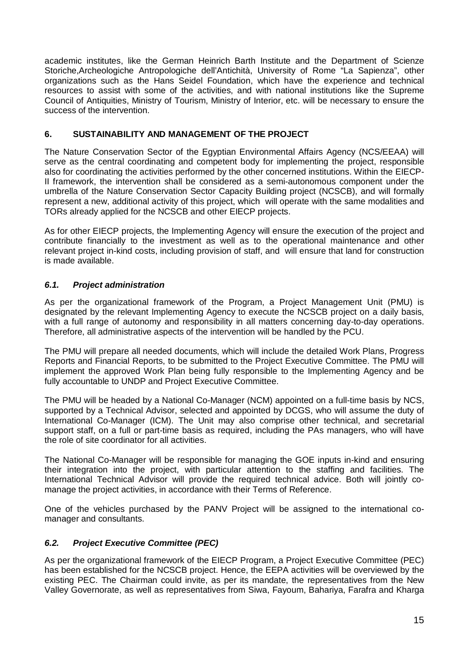academic institutes, like the German Heinrich Barth Institute and the Department of Scienze Storiche,Archeologiche Antropologiche dell'Antichità, University of Rome "La Sapienza", other organizations such as the Hans Seidel Foundation, which have the experience and technical resources to assist with some of the activities, and with national institutions like the Supreme Council of Antiquities, Ministry of Tourism, Ministry of Interior, etc. will be necessary to ensure the success of the intervention.

# <span id="page-16-0"></span>**6. SUSTAINABILITY AND MANAGEMENT OF THE PROJECT**

The Nature Conservation Sector of the Egyptian Environmental Affairs Agency (NCS/EEAA) will serve as the central coordinating and competent body for implementing the project, responsible also for coordinating the activities performed by the other concerned institutions. Within the EIECP-II framework, the intervention shall be considered as a semi-autonomous component under the umbrella of the Nature Conservation Sector Capacity Building project (NCSCB), and will formally represent a new, additional activity of this project, which will operate with the same modalities and TORs already applied for the NCSCB and other EIECP projects.

As for other EIECP projects, the Implementing Agency will ensure the execution of the project and contribute financially to the investment as well as to the operational maintenance and other relevant project in-kind costs, including provision of staff, and will ensure that land for construction is made available.

# <span id="page-16-1"></span>*6.1. Project administration*

As per the organizational framework of the Program, a Project Management Unit (PMU) is designated by the relevant Implementing Agency to execute the NCSCB project on a daily basis, with a full range of autonomy and responsibility in all matters concerning day-to-day operations. Therefore, all administrative aspects of the intervention will be handled by the PCU.

The PMU will prepare all needed documents, which will include the detailed Work Plans, Progress Reports and Financial Reports, to be submitted to the Project Executive Committee. The PMU will implement the approved Work Plan being fully responsible to the Implementing Agency and be fully accountable to UNDP and Project Executive Committee.

The PMU will be headed by a National Co-Manager (NCM) appointed on a full-time basis by NCS, supported by a Technical Advisor, selected and appointed by DCGS, who will assume the duty of International Co-Manager (ICM). The Unit may also comprise other technical, and secretarial support staff, on a full or part-time basis as required, including the PAs managers, who will have the role of site coordinator for all activities.

The National Co-Manager will be responsible for managing the GOE inputs in-kind and ensuring their integration into the project, with particular attention to the staffing and facilities. The International Technical Advisor will provide the required technical advice. Both will jointly comanage the project activities, in accordance with their Terms of Reference.

One of the vehicles purchased by the PANV Project will be assigned to the international comanager and consultants.

# <span id="page-16-2"></span>*6.2. Project Executive Committee (PEC)*

As per the organizational framework of the EIECP Program, a Project Executive Committee (PEC) has been established for the NCSCB project. Hence, the EEPA activities will be overviewed by the existing PEC. The Chairman could invite, as per its mandate, the representatives from the New Valley Governorate, as well as representatives from Siwa, Fayoum, Bahariya, Farafra and Kharga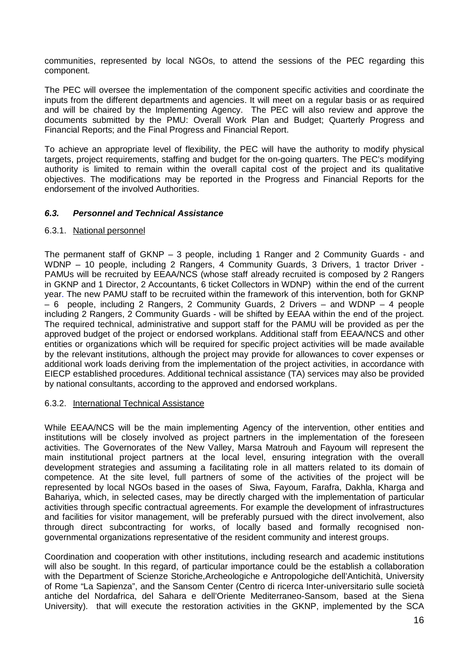communities, represented by local NGOs, to attend the sessions of the PEC regarding this component.

The PEC will oversee the implementation of the component specific activities and coordinate the inputs from the different departments and agencies. It will meet on a regular basis or as required and will be chaired by the Implementing Agency. The PEC will also review and approve the documents submitted by the PMU: Overall Work Plan and Budget; Quarterly Progress and Financial Reports; and the Final Progress and Financial Report.

To achieve an appropriate level of flexibility, the PEC will have the authority to modify physical targets, project requirements, staffing and budget for the on-going quarters. The PEC's modifying authority is limited to remain within the overall capital cost of the project and its qualitative objectives. The modifications may be reported in the Progress and Financial Reports for the endorsement of the involved Authorities.

# <span id="page-17-0"></span>*6.3. Personnel and Technical Assistance*

# <span id="page-17-1"></span>6.3.1. National personnel

The permanent staff of GKNP – 3 people, including 1 Ranger and 2 Community Guards - and WDNP – 10 people, including 2 Rangers, 4 Community Guards, 3 Drivers, 1 tractor Driver - PAMUs will be recruited by EEAA/NCS (whose staff already recruited is composed by 2 Rangers in GKNP and 1 Director, 2 Accountants, 6 ticket Collectors in WDNP) within the end of the current year. The new PAMU staff to be recruited within the framework of this intervention, both for GKNP – 6 people, including 2 Rangers, 2 Community Guards, 2 Drivers – and WDNP – 4 people including 2 Rangers, 2 Community Guards - will be shifted by EEAA within the end of the project. The required technical, administrative and support staff for the PAMU will be provided as per the approved budget of the project or endorsed workplans. Additional staff from EEAA/NCS and other entities or organizations which will be required for specific project activities will be made available by the relevant institutions, although the project may provide for allowances to cover expenses or additional work loads deriving from the implementation of the project activities, in accordance with EIECP established procedures. Additional technical assistance (TA) services may also be provided by national consultants, according to the approved and endorsed workplans.

# <span id="page-17-2"></span>6.3.2. International Technical Assistance

While EEAA/NCS will be the main implementing Agency of the intervention, other entities and institutions will be closely involved as project partners in the implementation of the foreseen activities. The Governorates of the New Valley, Marsa Matrouh and Fayoum will represent the main institutional project partners at the local level, ensuring integration with the overall development strategies and assuming a facilitating role in all matters related to its domain of competence. At the site level, full partners of some of the activities of the project will be represented by local NGOs based in the oases of Siwa, Fayoum, Farafra, Dakhla, Kharga and Bahariya, which, in selected cases, may be directly charged with the implementation of particular activities through specific contractual agreements. For example the development of infrastructures and facilities for visitor management, will be preferably pursued with the direct involvement, also through direct subcontracting for works, of locally based and formally recognised nongovernmental organizations representative of the resident community and interest groups.

Coordination and cooperation with other institutions, including research and academic institutions will also be sought. In this regard, of particular importance could be the establish a collaboration with the Department of Scienze Storiche,Archeologiche e Antropologiche dell'Antichità, University of Rome "La Sapienza", and the Sansom Center (Centro di ricerca Inter-universitario sulle società antiche del Nordafrica, del Sahara e dell'Oriente Mediterraneo-Sansom, based at the Siena University). that will execute the restoration activities in the GKNP, implemented by the SCA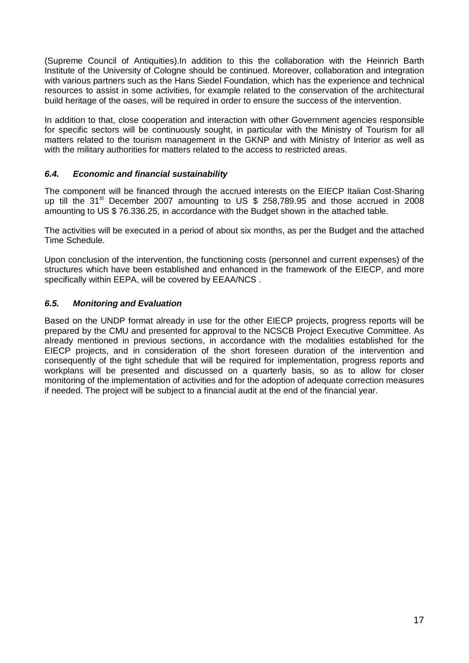(Supreme Council of Antiquities).In addition to this the collaboration with the Heinrich Barth Institute of the University of Cologne should be continued. Moreover, collaboration and integration with various partners such as the Hans Siedel Foundation, which has the experience and technical resources to assist in some activities, for example related to the conservation of the architectural build heritage of the oases, will be required in order to ensure the success of the intervention.

In addition to that, close cooperation and interaction with other Government agencies responsible for specific sectors will be continuously sought, in particular with the Ministry of Tourism for all matters related to the tourism management in the GKNP and with Ministry of Interior as well as with the military authorities for matters related to the access to restricted areas.

# <span id="page-18-0"></span>*6.4. Economic and financial sustainability*

The component will be financed through the accrued interests on the EIECP Italian Cost-Sharing up till the  $31<sup>st</sup>$  December 2007 amounting to US \$ 258,789.95 and those accrued in 2008 amounting to US \$ 76.336.25, in accordance with the Budget shown in the attached table.

The activities will be executed in a period of about six months, as per the Budget and the attached Time Schedule.

Upon conclusion of the intervention, the functioning costs (personnel and current expenses) of the structures which have been established and enhanced in the framework of the EIECP, and more specifically within EEPA, will be covered by EEAA/NCS .

# <span id="page-18-1"></span>*6.5. Monitoring and Evaluation*

Based on the UNDP format already in use for the other EIECP projects, progress reports will be prepared by the CMU and presented for approval to the NCSCB Project Executive Committee. As already mentioned in previous sections, in accordance with the modalities established for the EIECP projects, and in consideration of the short foreseen duration of the intervention and consequently of the tight schedule that will be required for implementation, progress reports and workplans will be presented and discussed on a quarterly basis, so as to allow for closer monitoring of the implementation of activities and for the adoption of adequate correction measures if needed. The project will be subject to a financial audit at the end of the financial year.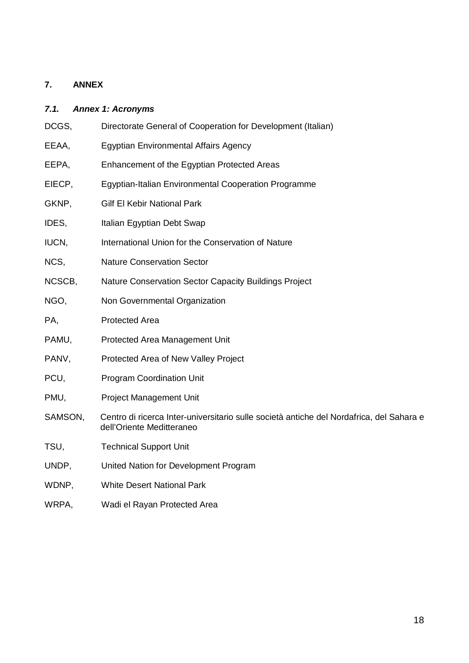# <span id="page-19-0"></span>**7. ANNEX**

# <span id="page-19-1"></span>*7.1. Annex 1: Acronyms*

| DCGS,   | Directorate General of Cooperation for Development (Italian)                                                          |
|---------|-----------------------------------------------------------------------------------------------------------------------|
| EEAA,   | <b>Egyptian Environmental Affairs Agency</b>                                                                          |
| EEPA,   | Enhancement of the Egyptian Protected Areas                                                                           |
| EIECP,  | Egyptian-Italian Environmental Cooperation Programme                                                                  |
| GKNP,   | <b>Gilf El Kebir National Park</b>                                                                                    |
| IDES,   | Italian Egyptian Debt Swap                                                                                            |
| IUCN,   | International Union for the Conservation of Nature                                                                    |
| NCS,    | <b>Nature Conservation Sector</b>                                                                                     |
| NCSCB,  | Nature Conservation Sector Capacity Buildings Project                                                                 |
| NGO,    | Non Governmental Organization                                                                                         |
| PA,     | <b>Protected Area</b>                                                                                                 |
| PAMU,   | Protected Area Management Unit                                                                                        |
| PANV,   | Protected Area of New Valley Project                                                                                  |
| PCU,    | <b>Program Coordination Unit</b>                                                                                      |
| PMU,    | <b>Project Management Unit</b>                                                                                        |
| SAMSON, | Centro di ricerca Inter-universitario sulle società antiche del Nordafrica, del Sahara e<br>dell'Oriente Meditteraneo |
| TSU,    | <b>Technical Support Unit</b>                                                                                         |
| UNDP,   | United Nation for Development Program                                                                                 |
| WDNP,   | <b>White Desert National Park</b>                                                                                     |
| WRPA,   | Wadi el Rayan Protected Area                                                                                          |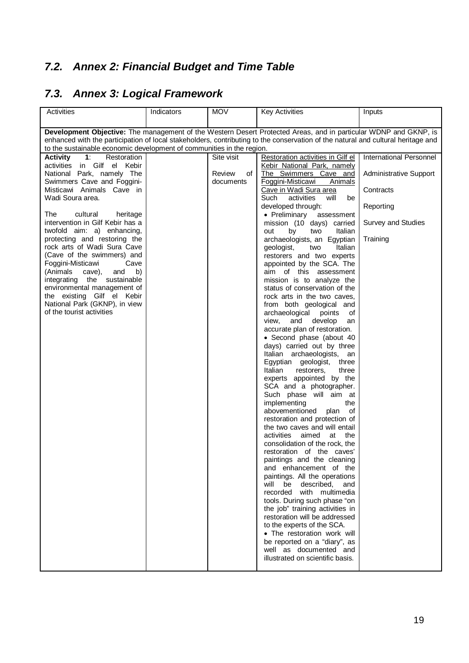# <span id="page-20-0"></span>*7.2. Annex 2: Financial Budget and Time Table*

# <span id="page-20-1"></span>*7.3. Annex 3: Logical Framework*

| Activities                                                                                                                                                                                                | Indicators | <b>MOV</b>   | <b>Key Activities</b>                                      | Inputs                         |  |  |  |
|-----------------------------------------------------------------------------------------------------------------------------------------------------------------------------------------------------------|------------|--------------|------------------------------------------------------------|--------------------------------|--|--|--|
| Development Objective: The management of the Western Desert Protected Areas, and in particular WDNP and GKNP, is                                                                                          |            |              |                                                            |                                |  |  |  |
| enhanced with the participation of local stakeholders, contributing to the conservation of the natural and cultural heritage and<br>to the sustainable economic development of communities in the region. |            |              |                                                            |                                |  |  |  |
| Activity 1:<br>Restoration                                                                                                                                                                                |            | Site visit   | Restoration activities in Gilf el                          | <b>International Personnel</b> |  |  |  |
| activities in Gilf el Kebir                                                                                                                                                                               |            |              | Kebir National Park, namely                                |                                |  |  |  |
| National Park, namely The                                                                                                                                                                                 |            | Review<br>of | The Swimmers Cave and                                      | Administrative Support         |  |  |  |
| Swimmers Cave and Foggini-                                                                                                                                                                                |            | documents    | Foggini-Misticawi<br>Animals                               |                                |  |  |  |
| Misticawi Animals Cave in                                                                                                                                                                                 |            |              | Cave in Wadi Sura area                                     | Contracts                      |  |  |  |
| Wadi Soura area.                                                                                                                                                                                          |            |              | Such<br>activities<br>will<br>be                           |                                |  |  |  |
|                                                                                                                                                                                                           |            |              | developed through:                                         | Reporting                      |  |  |  |
| The<br>cultural<br>heritage                                                                                                                                                                               |            |              | • Preliminary<br>assessment                                |                                |  |  |  |
| intervention in Gilf Kebir has a                                                                                                                                                                          |            |              | mission (10 days) carried                                  | <b>Survey and Studies</b>      |  |  |  |
| twofold aim: a) enhancing,                                                                                                                                                                                |            |              | Italian<br>out<br>by<br>two                                |                                |  |  |  |
| protecting and restoring the                                                                                                                                                                              |            |              | archaeologists, an Egyptian                                | Training                       |  |  |  |
| rock arts of Wadi Sura Cave                                                                                                                                                                               |            |              | two<br>Italian<br>geologist,                               |                                |  |  |  |
| (Cave of the swimmers) and                                                                                                                                                                                |            |              | restorers and two experts                                  |                                |  |  |  |
| Foggini-Misticawi<br>Cave                                                                                                                                                                                 |            |              | appointed by the SCA. The                                  |                                |  |  |  |
| (Animals<br>cave),<br>b)<br>and                                                                                                                                                                           |            |              | aim of this assessment                                     |                                |  |  |  |
| integrating the sustainable                                                                                                                                                                               |            |              | mission is to analyze the                                  |                                |  |  |  |
| environmental management of                                                                                                                                                                               |            |              | status of conservation of the                              |                                |  |  |  |
| the existing Gilf el Kebir                                                                                                                                                                                |            |              | rock arts in the two caves,                                |                                |  |  |  |
| National Park (GKNP), in view                                                                                                                                                                             |            |              | from both geological and                                   |                                |  |  |  |
| of the tourist activities                                                                                                                                                                                 |            |              | archaeological<br>points<br>οf                             |                                |  |  |  |
|                                                                                                                                                                                                           |            |              | and develop<br>view,<br>an                                 |                                |  |  |  |
|                                                                                                                                                                                                           |            |              | accurate plan of restoration.                              |                                |  |  |  |
|                                                                                                                                                                                                           |            |              | • Second phase (about 40                                   |                                |  |  |  |
|                                                                                                                                                                                                           |            |              | days) carried out by three                                 |                                |  |  |  |
|                                                                                                                                                                                                           |            |              | Italian archaeologists, an                                 |                                |  |  |  |
|                                                                                                                                                                                                           |            |              | Egyptian geologist,<br>three                               |                                |  |  |  |
|                                                                                                                                                                                                           |            |              | Italian<br>restorers,<br>three                             |                                |  |  |  |
|                                                                                                                                                                                                           |            |              | experts appointed by the                                   |                                |  |  |  |
|                                                                                                                                                                                                           |            |              | SCA and a photographer.                                    |                                |  |  |  |
|                                                                                                                                                                                                           |            |              | Such phase will aim at                                     |                                |  |  |  |
|                                                                                                                                                                                                           |            |              | implementing<br>the                                        |                                |  |  |  |
|                                                                                                                                                                                                           |            |              | abovementioned<br>of<br>plan                               |                                |  |  |  |
|                                                                                                                                                                                                           |            |              | restoration and protection of                              |                                |  |  |  |
|                                                                                                                                                                                                           |            |              | the two caves and will entail                              |                                |  |  |  |
|                                                                                                                                                                                                           |            |              | aimed<br>activities<br>at the                              |                                |  |  |  |
|                                                                                                                                                                                                           |            |              | consolidation of the rock, the                             |                                |  |  |  |
|                                                                                                                                                                                                           |            |              | restoration of the caves'                                  |                                |  |  |  |
|                                                                                                                                                                                                           |            |              | paintings and the cleaning                                 |                                |  |  |  |
|                                                                                                                                                                                                           |            |              | and enhancement of the                                     |                                |  |  |  |
|                                                                                                                                                                                                           |            |              | paintings. All the operations                              |                                |  |  |  |
|                                                                                                                                                                                                           |            |              | be<br>described,<br>will<br>and                            |                                |  |  |  |
|                                                                                                                                                                                                           |            |              | recorded<br>with multimedia                                |                                |  |  |  |
|                                                                                                                                                                                                           |            |              | tools. During such phase "on                               |                                |  |  |  |
|                                                                                                                                                                                                           |            |              | the job" training activities in                            |                                |  |  |  |
|                                                                                                                                                                                                           |            |              | restoration will be addressed                              |                                |  |  |  |
|                                                                                                                                                                                                           |            |              | to the experts of the SCA.                                 |                                |  |  |  |
|                                                                                                                                                                                                           |            |              | • The restoration work will                                |                                |  |  |  |
|                                                                                                                                                                                                           |            |              | be reported on a "diary", as                               |                                |  |  |  |
|                                                                                                                                                                                                           |            |              | well as documented and<br>illustrated on scientific basis. |                                |  |  |  |
|                                                                                                                                                                                                           |            |              |                                                            |                                |  |  |  |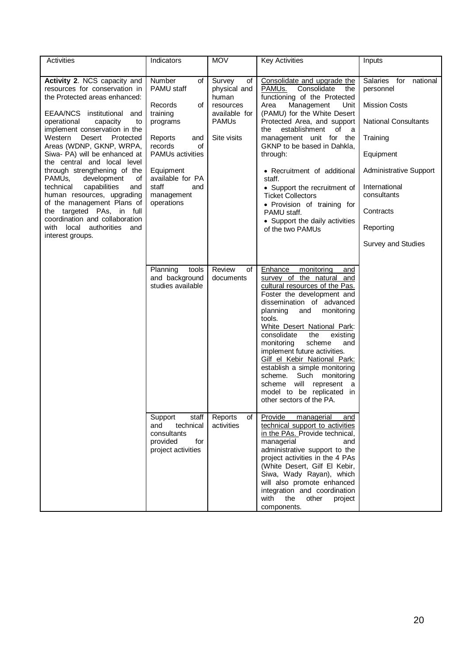| Activities                                                                                                                                                                                                                                                                                                                                                                                                                                                                                                                                                                                                      | Indicators                                                                                                                                                                                                     | <b>MOV</b>                                                                                         | <b>Key Activities</b>                                                                                                                                                                                                                                                                                                                                                                                                                                                                                                      | Inputs                                                                                                                                                                                                                          |
|-----------------------------------------------------------------------------------------------------------------------------------------------------------------------------------------------------------------------------------------------------------------------------------------------------------------------------------------------------------------------------------------------------------------------------------------------------------------------------------------------------------------------------------------------------------------------------------------------------------------|----------------------------------------------------------------------------------------------------------------------------------------------------------------------------------------------------------------|----------------------------------------------------------------------------------------------------|----------------------------------------------------------------------------------------------------------------------------------------------------------------------------------------------------------------------------------------------------------------------------------------------------------------------------------------------------------------------------------------------------------------------------------------------------------------------------------------------------------------------------|---------------------------------------------------------------------------------------------------------------------------------------------------------------------------------------------------------------------------------|
|                                                                                                                                                                                                                                                                                                                                                                                                                                                                                                                                                                                                                 |                                                                                                                                                                                                                |                                                                                                    |                                                                                                                                                                                                                                                                                                                                                                                                                                                                                                                            |                                                                                                                                                                                                                                 |
| Activity 2. NCS capacity and<br>resources for conservation in<br>the Protected areas enhanced:<br>EEAA/NCS institutional and<br>operational<br>capacity<br>to<br>implement conservation in the<br>Desert<br>Western<br>Protected<br>Areas (WDNP, GKNP, WRPA,<br>Siwa- PA) will be enhanced at<br>the central and local level<br>through strengthening of the<br>PAMUs,<br>development<br>οf<br>capabilities<br>technical<br>and<br>human resources, upgrading<br>of the management Plans of<br>the targeted PAs, in full<br>coordination and collaboration<br>with local authorities<br>and<br>interest groups. | Number<br>οf<br>PAMU staff<br>Records<br>οf<br>training<br>programs<br>Reports<br>and<br>records<br>οf<br><b>PAMUs activities</b><br>Equipment<br>available for PA<br>staff<br>and<br>management<br>operations | Survey<br>of<br>physical and<br>human<br>resources<br>available for<br><b>PAMUs</b><br>Site visits | Consolidate and upgrade the<br>PAMU <sub>s.</sub><br>Consolidate<br>the<br>functioning of the Protected<br>Area<br>Management<br>Unit<br>(PAMU) for the White Desert<br>Protected Area, and support<br>establishment<br>of a<br>the<br>management unit for the<br>GKNP to be based in Dahkla,<br>through:<br>• Recruitment of additional<br>staff.<br>• Support the recruitment of<br><b>Ticket Collectors</b><br>· Provision of training for<br>PAMU staff.<br>• Support the daily activities<br>of the two PAMUs         | Salaries for<br>national<br>personnel<br><b>Mission Costs</b><br><b>National Consultants</b><br>Training<br>Equipment<br>Administrative Support<br>International<br>consultants<br>Contracts<br>Reporting<br>Survey and Studies |
|                                                                                                                                                                                                                                                                                                                                                                                                                                                                                                                                                                                                                 | Planning<br>tools<br>and background<br>studies available                                                                                                                                                       | Review<br>of<br>documents                                                                          | monitoring<br>Enhance<br>and<br>survey of the natural<br>and<br>cultural resources of the Pas.<br>Foster the development and<br>dissemination of advanced<br>planning<br>and<br>monitoring<br>tools.<br>White Desert National Park:<br>consolidate<br>the<br>existing<br>monitoring<br>scheme<br>and<br>implement future activities.<br>Gilf el Kebir National Park:<br>establish a simple monitoring<br>Such monitoring<br>scheme.<br>scheme will represent<br>a<br>model to be replicated in<br>other sectors of the PA. |                                                                                                                                                                                                                                 |
|                                                                                                                                                                                                                                                                                                                                                                                                                                                                                                                                                                                                                 | Support<br>staff<br>technical<br>and<br>consultants<br>provided<br>for<br>project activities                                                                                                                   | Reports<br>of<br>activities                                                                        | Provide<br>managerial<br>and<br>technical support to activities<br>in the PAs. Provide technical,<br>managerial<br>and<br>administrative support to the<br>project activities in the 4 PAs<br>(White Desert, Gilf El Kebir,<br>Siwa, Wady Rayan), which<br>will also promote enhanced<br>integration and coordination<br>with<br>the<br>other<br>project<br>components.                                                                                                                                                    |                                                                                                                                                                                                                                 |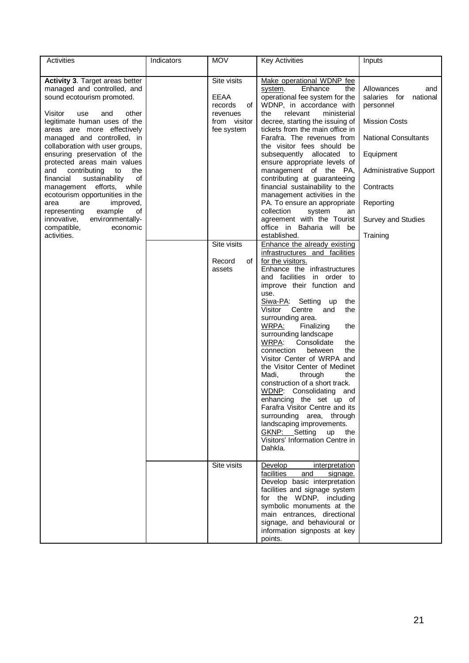| Activities                             | Indicators | <b>MOV</b>    | <b>Key Activities</b>             | Inputs                      |
|----------------------------------------|------------|---------------|-----------------------------------|-----------------------------|
|                                        |            |               |                                   |                             |
| <b>Activity 3. Target areas better</b> |            | Site visits   | Make operational WDNP fee         |                             |
| managed and controlled, and            |            |               | Enhance<br>system.<br>the         | Allowances<br>and           |
| sound ecotourism promoted.             |            | EEAA          | operational fee system for the    | salaries for<br>national    |
|                                        |            | records<br>οf | WDNP, in accordance with          | personnel                   |
| Visitor<br>use<br>and<br>other         |            | revenues      | the<br>relevant<br>ministerial    |                             |
| legitimate human uses of the           |            | from visitor  | decree, starting the issuing of   | <b>Mission Costs</b>        |
| areas are more effectively             |            | fee system    | tickets from the main office in   |                             |
| managed and controlled, in             |            |               | Farafra. The revenues from        | <b>National Consultants</b> |
| collaboration with user groups,        |            |               | the visitor fees should be        |                             |
| ensuring preservation of the           |            |               | subsequently allocated<br>to      | Equipment                   |
| protected areas main values            |            |               | ensure appropriate levels of      |                             |
| contributing<br>and<br>to<br>the       |            |               | management of the PA,             | Administrative Support      |
| financial<br>sustainability<br>of      |            |               | contributing at guaranteeing      |                             |
| management efforts, while              |            |               | financial sustainability to the   | Contracts                   |
| ecotourism opportunities in the        |            |               | management activities in the      |                             |
| area<br>are<br>improved,               |            |               | PA. To ensure an appropriate      | Reporting                   |
| example<br>representing<br>οf          |            |               | collection<br>system<br>an        |                             |
| environmentally-<br>innovative,        |            |               | agreement with the Tourist        | Survey and Studies          |
| compatible,<br>economic                |            |               | office in Baharia will be         |                             |
| activities.                            |            |               | established.                      | Training                    |
|                                        |            | Site visits   | Enhance the already existing      |                             |
|                                        |            |               | infrastructures and facilities    |                             |
|                                        |            | Record<br>οf  | for the visitors.                 |                             |
|                                        |            | assets        | Enhance the infrastructures       |                             |
|                                        |            |               | and facilities in order to        |                             |
|                                        |            |               | improve their function and        |                             |
|                                        |            |               | use.                              |                             |
|                                        |            |               | Siwa-PA: Setting<br>up<br>the     |                             |
|                                        |            |               | Visitor<br>Centre<br>the<br>and   |                             |
|                                        |            |               | surrounding area.                 |                             |
|                                        |            |               | <u>WRPA:</u><br>Finalizing<br>the |                             |
|                                        |            |               | surrounding landscape             |                             |
|                                        |            |               | WRPA:<br>Consolidate<br>the       |                             |
|                                        |            |               | connection<br>between<br>the      |                             |
|                                        |            |               | Visitor Center of WRPA and        |                             |
|                                        |            |               | the Visitor Center of Medinet     |                             |
|                                        |            |               | Madi,<br>through<br>the           |                             |
|                                        |            |               | construction of a short track.    |                             |
|                                        |            |               | WDNP: Consolidating<br>and        |                             |
|                                        |            |               | enhancing the set up of           |                             |
|                                        |            |               | Farafra Visitor Centre and its    |                             |
|                                        |            |               | surrounding area, through         |                             |
|                                        |            |               | landscaping improvements.         |                             |
|                                        |            |               | GKNP: Setting<br>up<br>the        |                             |
|                                        |            |               | Visitors' Information Centre in   |                             |
|                                        |            |               | Dahkla.                           |                             |
|                                        |            |               |                                   |                             |
|                                        |            | Site visits   | Develop<br>interpretation         |                             |
|                                        |            |               | facilities<br>and<br>signage.     |                             |
|                                        |            |               | Develop basic interpretation      |                             |
|                                        |            |               | facilities and signage system     |                             |
|                                        |            |               | for the WDNP, including           |                             |
|                                        |            |               | symbolic monuments at the         |                             |
|                                        |            |               | main entrances, directional       |                             |
|                                        |            |               | signage, and behavioural or       |                             |
|                                        |            |               | information signposts at key      |                             |
|                                        |            |               | points.                           |                             |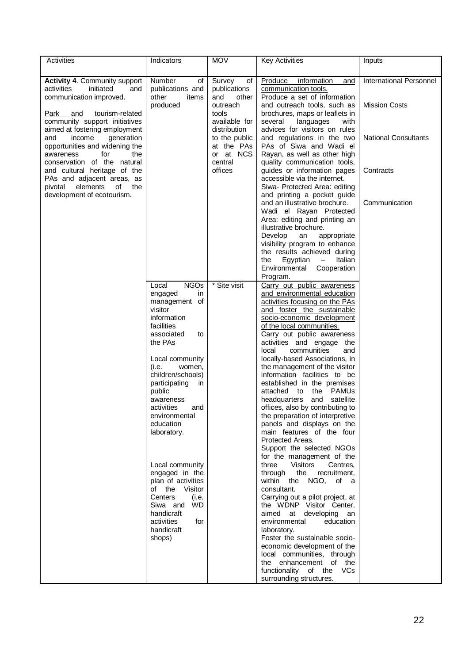| Activities                                                                                                                   | Indicators                                                         | <b>MOV</b>                                               | <b>Key Activities</b>                                                                                                       | Inputs                                                 |
|------------------------------------------------------------------------------------------------------------------------------|--------------------------------------------------------------------|----------------------------------------------------------|-----------------------------------------------------------------------------------------------------------------------------|--------------------------------------------------------|
| <b>Activity 4. Community support</b><br>activities<br>initiated<br>and<br>communication improved.                            | Number<br>of<br>publications and<br>other<br>items<br>produced     | Survey<br>οf<br>publications<br>and<br>other<br>outreach | Produce<br>information<br>and<br>communication tools.<br>Produce a set of information<br>and outreach tools, such as        | <b>International Personnel</b><br><b>Mission Costs</b> |
| Park<br>and<br>tourism-related<br>community support initiatives<br>aimed at fostering employment                             |                                                                    | tools<br>available for<br>distribution                   | brochures, maps or leaflets in<br>languages<br>several<br>with<br>advices for visitors on rules                             |                                                        |
| generation<br>and<br>income<br>opportunities and widening the<br>for<br>the<br>awareness<br>conservation of the natural      |                                                                    | to the public<br>at the PAs<br>or at NCS<br>central      | and regulations in the two<br>PAs of Siwa and Wadi el<br>Rayan, as well as other high<br>quality communication tools,       | <b>National Consultants</b>                            |
| and cultural heritage of the<br>PAs and adjacent areas, as<br>of<br>elements<br>the<br>pivotal<br>development of ecotourism. |                                                                    | offices                                                  | guides or information pages<br>accessible via the internet.<br>Siwa- Protected Area: editing<br>and printing a pocket guide | Contracts                                              |
|                                                                                                                              |                                                                    |                                                          | and an illustrative brochure.<br>Wadi el Rayan Protected<br>Area: editing and printing an<br>illustrative brochure.         | Communication                                          |
|                                                                                                                              |                                                                    |                                                          | Develop<br>an<br>appropriate<br>visibility program to enhance<br>the results achieved during                                |                                                        |
|                                                                                                                              |                                                                    |                                                          | Egyptian<br>Italian<br>the<br>$-$<br>Environmental Cooperation<br>Program.                                                  |                                                        |
|                                                                                                                              | <b>NGOs</b><br>Local<br>engaged<br>in<br>management of<br>visitor  | * Site visit                                             | Carry out public awareness<br>and environmental education<br>activities focusing on the PAs<br>and foster the sustainable   |                                                        |
|                                                                                                                              | information<br>facilities<br>associated<br>to                      |                                                          | socio-economic development<br>of the local communities.<br>Carry out public awareness                                       |                                                        |
|                                                                                                                              | the PAs<br>Local community                                         |                                                          | activities and engage the<br>local<br>communities<br>and<br>locally-based Associations, in                                  |                                                        |
|                                                                                                                              | (i.e.<br>women,<br>children/schools)<br>participating<br>in        |                                                          | the management of the visitor<br>information facilities to be<br>established in the premises                                |                                                        |
|                                                                                                                              | public<br>awareness<br>activities<br>and                           |                                                          | attached to the PAMUs<br>headquarters and satellite<br>offices, also by contributing to                                     |                                                        |
|                                                                                                                              | environmental<br>education<br>laboratory.                          |                                                          | the preparation of interpretive<br>panels and displays on the<br>main features of the four                                  |                                                        |
|                                                                                                                              | Local community                                                    |                                                          | Protected Areas.<br>Support the selected NGOs<br>for the management of the<br>three Visitors<br>Centres,                    |                                                        |
|                                                                                                                              | engaged in the<br>plan of activities<br>of the Visitor             |                                                          | through the<br>recruitment,<br>within the NGO, of a<br>consultant.                                                          |                                                        |
|                                                                                                                              | Centers<br>(i.e.<br>Siwa and WD<br>handicraft<br>activities<br>for |                                                          | Carrying out a pilot project, at<br>the WDNP Visitor Center,<br>aimed at developing an<br>environmental<br>education        |                                                        |
|                                                                                                                              | handicraft<br>shops)                                               |                                                          | laboratory.<br>Foster the sustainable socio-<br>economic development of the                                                 |                                                        |
|                                                                                                                              |                                                                    |                                                          | local communities, through<br>the enhancement of the<br>functionality of the VCs                                            |                                                        |
|                                                                                                                              |                                                                    |                                                          | surrounding structures.                                                                                                     |                                                        |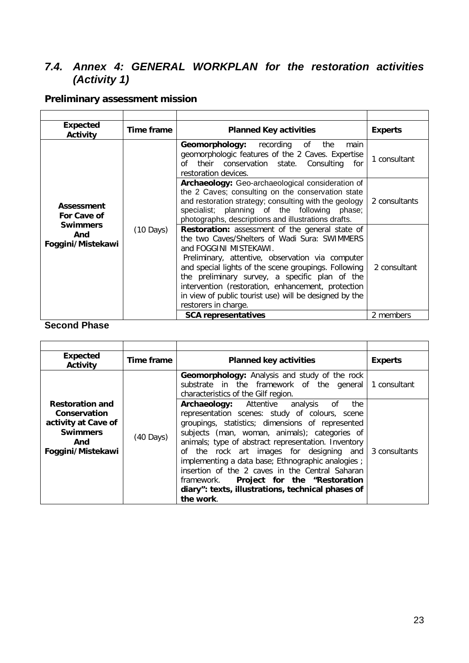# <span id="page-24-0"></span>*7.4. Annex 4: GENERAL WORKPLAN for the restoration activities (Activity 1)*

# **Preliminary assessment mission**

| <b>Expected</b><br><b>Activity</b> | Time frame                                                            | <b>Planned Key activities</b>                                                                                                                                                                                                                                                                                                                                                                            | <b>Experts</b> |
|------------------------------------|-----------------------------------------------------------------------|----------------------------------------------------------------------------------------------------------------------------------------------------------------------------------------------------------------------------------------------------------------------------------------------------------------------------------------------------------------------------------------------------------|----------------|
|                                    |                                                                       | Geomorphology: recording of the<br>main<br>geomorphologic features of the 2 Caves. Expertise<br>of their conservation state. Consulting<br>for<br>restoration devices.                                                                                                                                                                                                                                   | 1 consultant   |
| Assessment<br>For Cave of          | <b>Swimmers</b><br>$(10 \text{ Days})$<br>And<br>restorers in charge. | Archaeology: Geo-archaeological consideration of<br>the 2 Caves; consulting on the conservation state<br>and restoration strategy; consulting with the geology<br>specialist; planning of the following phase;<br>photographs, descriptions and illustrations drafts.                                                                                                                                    | 2 consultants  |
| Foggini/Mistekawi                  |                                                                       | Restoration: assessment of the general state of<br>the two Caves/Shelters of Wadi Sura: SWIMMERS<br>and FOGGINI MISTEKAWI.<br>Preliminary, attentive, observation via computer<br>and special lights of the scene groupings. Following<br>the preliminary survey, a specific plan of the<br>intervention (restoration, enhancement, protection<br>in view of public tourist use) will be designed by the | 2 consultant   |
|                                    |                                                                       | <b>SCA representatives</b>                                                                                                                                                                                                                                                                                                                                                                               | 2 members      |

# **Second Phase**

| <b>Expected</b><br>Activity                                                                                  | Time frame          | <b>Planned key activities</b>                                                                                                                                                                                                                                                                                                                                                                                                                                                                                                                          | <b>Experts</b> |
|--------------------------------------------------------------------------------------------------------------|---------------------|--------------------------------------------------------------------------------------------------------------------------------------------------------------------------------------------------------------------------------------------------------------------------------------------------------------------------------------------------------------------------------------------------------------------------------------------------------------------------------------------------------------------------------------------------------|----------------|
|                                                                                                              |                     | <b>Geomorphology:</b> Analysis and study of the rock<br>substrate in the framework of the general 1 consultant<br>characteristics of the Gilf region.                                                                                                                                                                                                                                                                                                                                                                                                  |                |
| <b>Restoration and</b><br>Conservation<br>activity at Cave of<br><b>Swimmers</b><br>And<br>Foggini/Mistekawi | $(40 \text{ Days})$ | <b>Archaeology:</b> Attentive<br>analysis<br>0f<br>the<br>representation scenes: study of colours, scene<br>groupings, statistics; dimensions of represented<br>subjects (man, woman, animals); categories of<br>animals; type of abstract representation. Inventory<br>of the rock art images for designing and 3 consultants<br>implementing a data base; Ethnographic analogies;<br>insertion of the 2 caves in the Central Saharan<br>Project for the "Restoration<br>framework.<br>diary": texts, illustrations, technical phases of<br>the work. |                |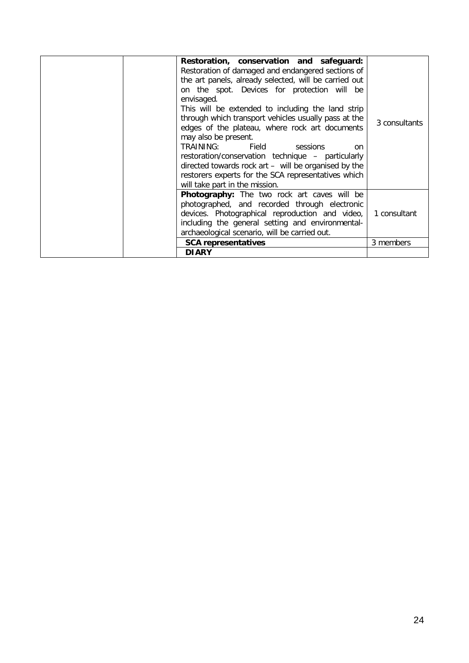|  | <b>SCA representatives</b><br><b>DIARY</b>                                                    | 3 members     |
|--|-----------------------------------------------------------------------------------------------|---------------|
|  |                                                                                               |               |
|  | archaeological scenario, will be carried out.                                                 |               |
|  | including the general setting and environmental-                                              |               |
|  | devices. Photographical reproduction and video,                                               | 1 consultant  |
|  | photographed, and recorded through electronic                                                 |               |
|  | Photography: The two rock art caves will be                                                   |               |
|  | will take part in the mission.                                                                |               |
|  | restorers experts for the SCA representatives which                                           |               |
|  | directed towards rock art - will be organised by the                                          |               |
|  | restoration/conservation technique - particularly                                             |               |
|  | TRAINING:<br>Field sessions<br><sub>on</sub>                                                  |               |
|  | may also be present.                                                                          |               |
|  | edges of the plateau, where rock art documents                                                | 3 consultants |
|  | through which transport vehicles usually pass at the                                          |               |
|  | This will be extended to including the land strip                                             |               |
|  | on the spot. Devices for protection will be<br>envisaged.                                     |               |
|  | the art panels, already selected, will be carried out                                         |               |
|  |                                                                                               |               |
|  |                                                                                               |               |
|  | Restoration, conservation and safeguard:<br>Restoration of damaged and endangered sections of |               |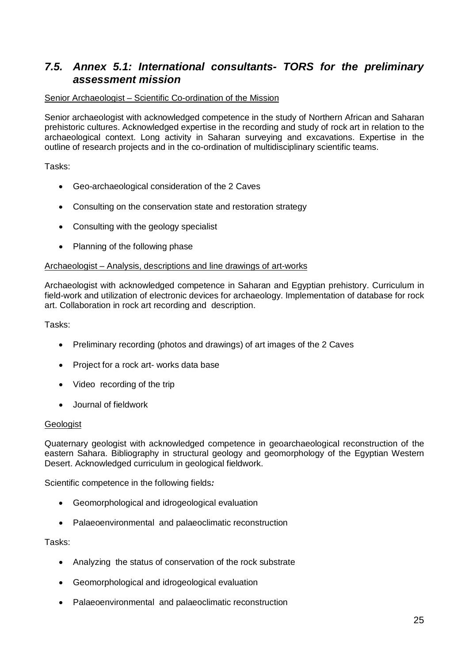# <span id="page-26-0"></span>*7.5. Annex 5.1: International consultants- TORS for the preliminary assessment mission*

# Senior Archaeologist – Scientific Co-ordination of the Mission

Senior archaeologist with acknowledged competence in the study of Northern African and Saharan prehistoric cultures. Acknowledged expertise in the recording and study of rock art in relation to the archaeological context. Long activity in Saharan surveying and excavations. Expertise in the outline of research projects and in the co-ordination of multidisciplinary scientific teams.

Tasks:

- Geo-archaeological consideration of the 2 Caves
- Consulting on the conservation state and restoration strategy
- Consulting with the geology specialist
- Planning of the following phase

# Archaeologist – Analysis, descriptions and line drawings of art-works

Archaeologist with acknowledged competence in Saharan and Egyptian prehistory. Curriculum in field-work and utilization of electronic devices for archaeology. Implementation of database for rock art. Collaboration in rock art recording and description.

Tasks:

- Preliminary recording (photos and drawings) of art images of the 2 Caves
- Project for a rock art- works data base
- Video recording of the trip
- Journal of fieldwork

# Geologist

Quaternary geologist with acknowledged competence in geoarchaeological reconstruction of the eastern Sahara. Bibliography in structural geology and geomorphology of the Egyptian Western Desert. Acknowledged curriculum in geological fieldwork.

Scientific competence in the following fields*:* 

- Geomorphological and idrogeological evaluation
- Palaeoenvironmental and palaeoclimatic reconstruction

Tasks:

- Analyzing the status of conservation of the rock substrate
- Geomorphological and idrogeological evaluation
- Palaeoenvironmental and palaeoclimatic reconstruction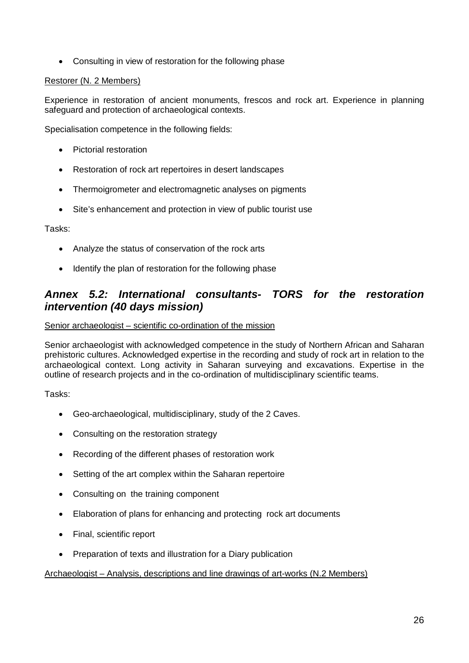• Consulting in view of restoration for the following phase

# Restorer (N. 2 Members)

Experience in restoration of ancient monuments, frescos and rock art. Experience in planning safeguard and protection of archaeological contexts.

Specialisation competence in the following fields:

- Pictorial restoration
- Restoration of rock art repertoires in desert landscapes
- Thermoigrometer and electromagnetic analyses on pigments
- Site's enhancement and protection in view of public tourist use

Tasks:

- Analyze the status of conservation of the rock arts
- Identify the plan of restoration for the following phase

# <span id="page-27-0"></span>*Annex 5.2: International consultants- TORS for the restoration intervention (40 days mission)*

Senior archaeologist – scientific co-ordination of the mission

Senior archaeologist with acknowledged competence in the study of Northern African and Saharan prehistoric cultures. Acknowledged expertise in the recording and study of rock art in relation to the archaeological context. Long activity in Saharan surveying and excavations. Expertise in the outline of research projects and in the co-ordination of multidisciplinary scientific teams.

Tasks:

- Geo-archaeological, multidisciplinary, study of the 2 Caves.
- Consulting on the restoration strategy
- Recording of the different phases of restoration work
- Setting of the art complex within the Saharan repertoire
- Consulting on the training component
- Elaboration of plans for enhancing and protecting rock art documents
- Final, scientific report
- Preparation of texts and illustration for a Diary publication

# Archaeologist – Analysis, descriptions and line drawings of art-works (N.2 Members)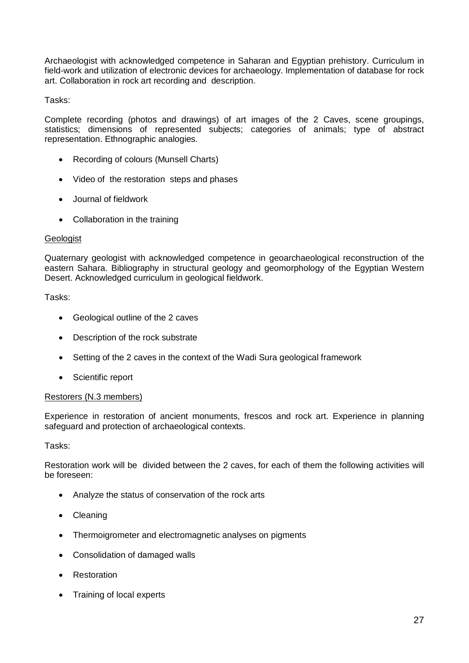Archaeologist with acknowledged competence in Saharan and Egyptian prehistory. Curriculum in field-work and utilization of electronic devices for archaeology. Implementation of database for rock art. Collaboration in rock art recording and description.

Tasks:

Complete recording (photos and drawings) of art images of the 2 Caves, scene groupings, statistics; dimensions of represented subjects; categories of animals; type of abstract representation. Ethnographic analogies.

- Recording of colours (Munsell Charts)
- Video of the restoration steps and phases
- Journal of fieldwork
- Collaboration in the training

# **Geologist**

Quaternary geologist with acknowledged competence in geoarchaeological reconstruction of the eastern Sahara. Bibliography in structural geology and geomorphology of the Egyptian Western Desert. Acknowledged curriculum in geological fieldwork.

Tasks:

- Geological outline of the 2 caves
- Description of the rock substrate
- Setting of the 2 caves in the context of the Wadi Sura geological framework
- Scientific report

# Restorers (N.3 members)

Experience in restoration of ancient monuments, frescos and rock art. Experience in planning safeguard and protection of archaeological contexts.

Tasks:

Restoration work will be divided between the 2 caves, for each of them the following activities will be foreseen:

- Analyze the status of conservation of the rock arts
- Cleaning
- Thermoigrometer and electromagnetic analyses on pigments
- Consolidation of damaged walls
- Restoration
- Training of local experts